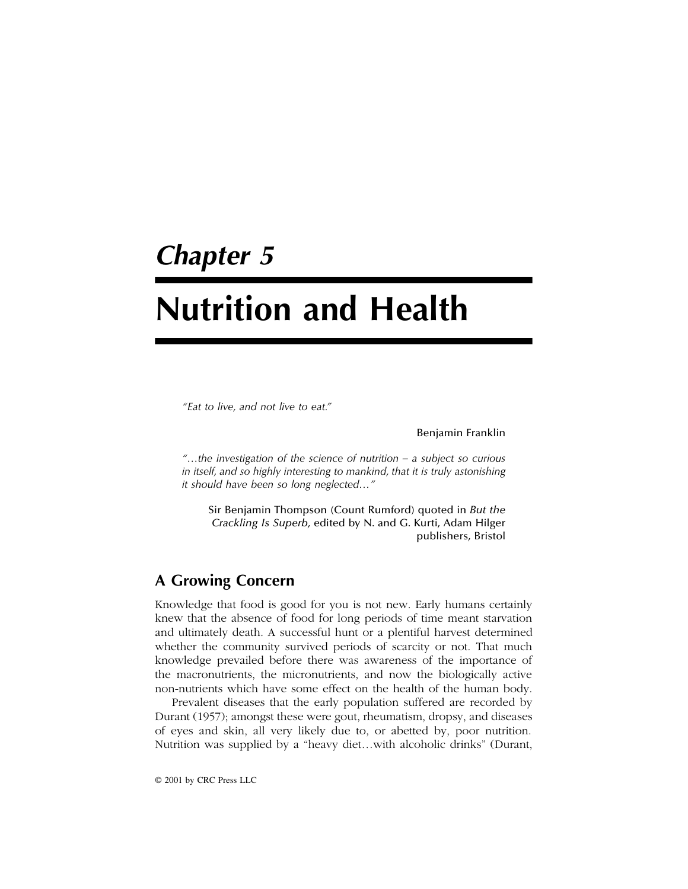## *Chapter 5*

# **Nutrition and Health**

*"Eat to live, and not live to eat."*

Benjamin Franklin

*"…the investigation of the science of nutrition – a subject so curious in itself, and so highly interesting to mankind, that it is truly astonishing it should have been so long neglected…"*

Sir Benjamin Thompson (Count Rumford) quoted in *But the Crackling Is Superb,* edited by N. and G. Kurti, Adam Hilger publishers, Bristol

## **A Growing Concern**

Knowledge that food is good for you is not new. Early humans certainly knew that the absence of food for long periods of time meant starvation and ultimately death. A successful hunt or a plentiful harvest determined whether the community survived periods of scarcity or not. That much knowledge prevailed before there was awareness of the importance of the macronutrients, the micronutrients, and now the biologically active non-nutrients which have some effect on the health of the human body.

Prevalent diseases that the early population suffered are recorded by Durant (1957); amongst these were gout, rheumatism, dropsy, and diseases of eyes and skin, all very likely due to, or abetted by, poor nutrition. Nutrition was supplied by a "heavy diet…with alcoholic drinks" (Durant,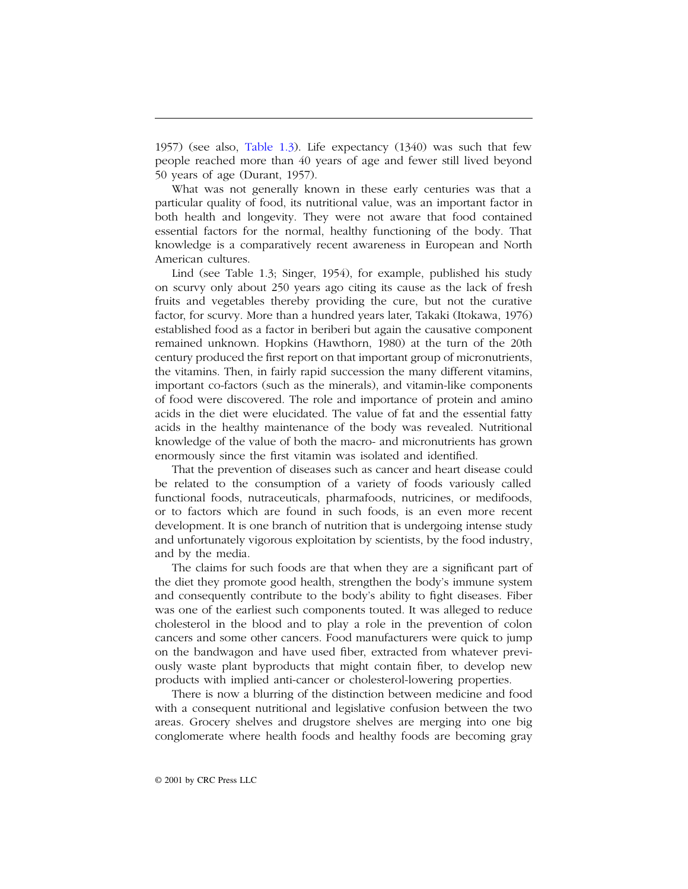1957) (see also, [Table 1.3\).](#page-13-0) Life expectancy (1340) was such that few people reached more than 40 years of age and fewer still lived beyond 50 years of age (Durant, 1957).

What was not generally known in these early centuries was that a particular quality of food, its nutritional value, was an important factor in both health and longevity. They were not aware that food contained essential factors for the normal, healthy functioning of the body. That knowledge is a comparatively recent awareness in European and North American cultures.

Lind (see Table 1.3; Singer, 1954), for example, published his study on scurvy only about 250 years ago citing its cause as the lack of fresh fruits and vegetables thereby providing the cure, but not the curative factor, for scurvy. More than a hundred years later, Takaki (Itokawa, 1976) established food as a factor in beriberi but again the causative component remained unknown. Hopkins (Hawthorn, 1980) at the turn of the 20th century produced the first report on that important group of micronutrients, the vitamins. Then, in fairly rapid succession the many different vitamins, important co-factors (such as the minerals), and vitamin-like components of food were discovered. The role and importance of protein and amino acids in the diet were elucidated. The value of fat and the essential fatty acids in the healthy maintenance of the body was revealed. Nutritional knowledge of the value of both the macro- and micronutrients has grown enormously since the first vitamin was isolated and identified.

That the prevention of diseases such as cancer and heart disease could be related to the consumption of a variety of foods variously called functional foods, nutraceuticals, pharmafoods, nutricines, or medifoods, or to factors which are found in such foods, is an even more recent development. It is one branch of nutrition that is undergoing intense study and unfortunately vigorous exploitation by scientists, by the food industry, and by the media.

The claims for such foods are that when they are a significant part of the diet they promote good health, strengthen the body's immune system and consequently contribute to the body's ability to fight diseases. Fiber was one of the earliest such components touted. It was alleged to reduce cholesterol in the blood and to play a role in the prevention of colon cancers and some other cancers. Food manufacturers were quick to jump on the bandwagon and have used fiber, extracted from whatever previously waste plant byproducts that might contain fiber, to develop new products with implied anti-cancer or cholesterol-lowering properties.

There is now a blurring of the distinction between medicine and food with a consequent nutritional and legislative confusion between the two areas. Grocery shelves and drugstore shelves are merging into one big conglomerate where health foods and healthy foods are becoming gray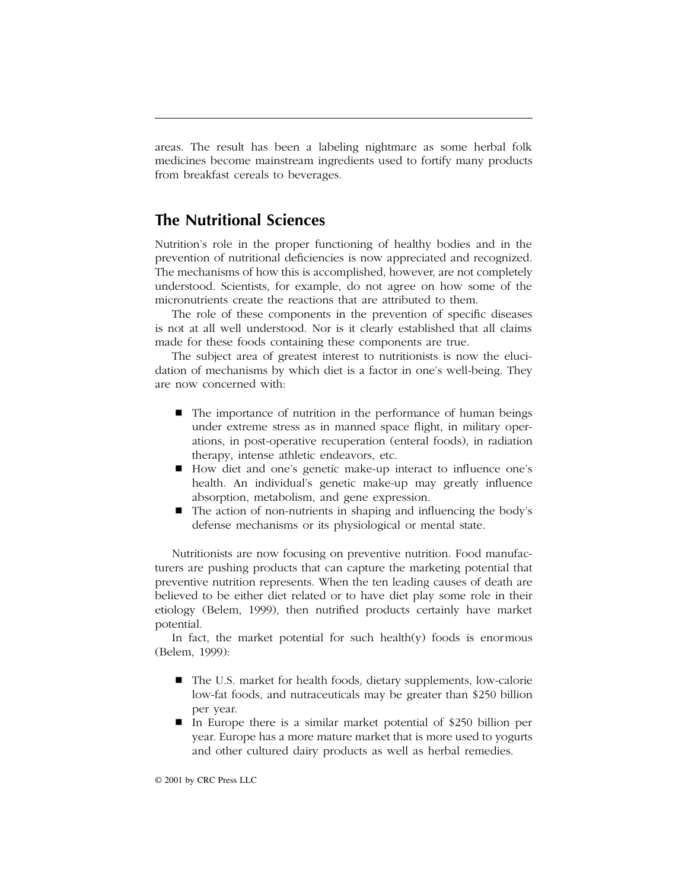areas. The result has been a labeling nightmare as some herbal folk medicines become mainstream ingredients used to fortify many products from breakfast cereals to beverages.

## **The Nutritional Sciences**

Nutrition's role in the proper functioning of healthy bodies and in the prevention of nutritional deficiencies is now appreciated and recognized. The mechanisms of how this is accomplished, however, are not completely understood. Scientists, for example, do not agree on how some of the micronutrients create the reactions that are attributed to them.

The role of these components in the prevention of specific diseases is not at all well understood. Nor is it clearly established that all claims made for these foods containing these components are true.

The subject area of greatest interest to nutritionists is now the elucidation of mechanisms by which diet is a factor in one's well-being. They are now concerned with:

- The importance of nutrition in the performance of human beings under extreme stress as in manned space flight, in military operations, in post-operative recuperation (enteral foods), in radiation therapy, intense athletic endeavors, etc.
- How diet and one's genetic make-up interact to influence one's health. An individual's genetic make-up may greatly influence absorption, metabolism, and gene expression.
- The action of non-nutrients in shaping and influencing the body's defense mechanisms or its physiological or mental state.

Nutritionists are now focusing on preventive nutrition. Food manufacturers are pushing products that can capture the marketing potential that preventive nutrition represents. When the ten leading causes of death are believed to be either diet related or to have diet play some role in their etiology (Belem, 1999), then nutrified products certainly have market potential.

In fact, the market potential for such health $(v)$  foods is enormous (Belem, 1999):

- The U.S. market for health foods, dietary supplements, low-calorie low-fat foods, and nutraceuticals may be greater than \$250 billion per year.
- In Europe there is a similar market potential of \$250 billion per year. Europe has a more mature market that is more used to yogurts and other cultured dairy products as well as herbal remedies.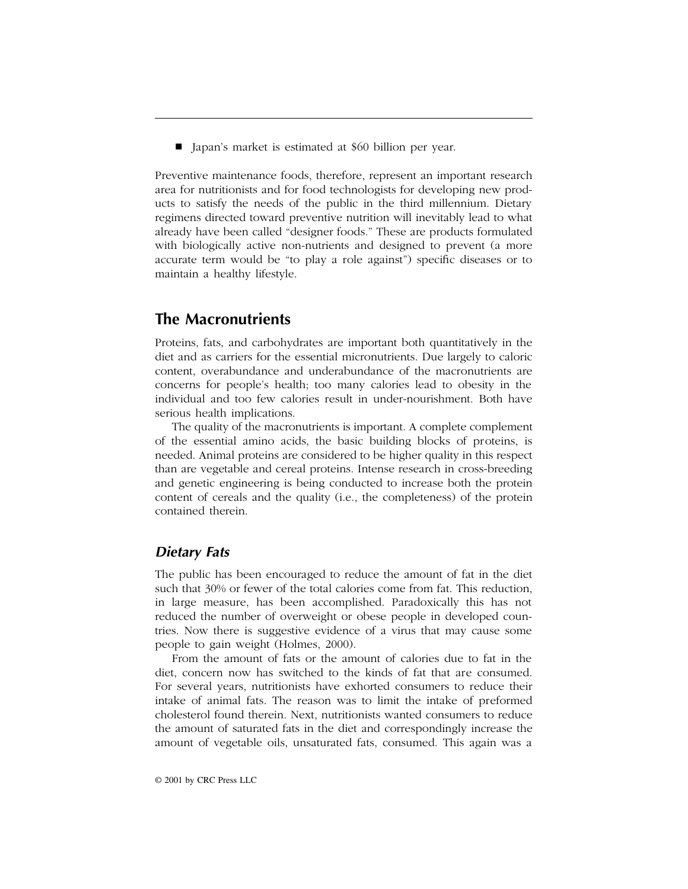■ Japan's market is estimated at \$60 billion per year.

Preventive maintenance foods, therefore, represent an important research area for nutritionists and for food technologists for developing new products to satisfy the needs of the public in the third millennium. Dietary regimens directed toward preventive nutrition will inevitably lead to what already have been called "designer foods." These are products formulated with biologically active non-nutrients and designed to prevent (a more accurate term would be "to play a role against") specific diseases or to maintain a healthy lifestyle.

#### **The Macronutrients**

Proteins, fats, and carbohydrates are important both quantitatively in the diet and as carriers for the essential micronutrients. Due largely to caloric content, overabundance and underabundance of the macronutrients are concerns for people's health; too many calories lead to obesity in the individual and too few calories result in under-nourishment. Both have serious health implications.

The quality of the macronutrients is important. A complete complement of the essential amino acids, the basic building blocks of proteins, is needed. Animal proteins are considered to be higher quality in this respect than are vegetable and cereal proteins. Intense research in cross-breeding and genetic engineering is being conducted to increase both the protein content of cereals and the quality (i.e., the completeness) of the protein contained therein.

#### *Dietary Fats*

The public has been encouraged to reduce the amount of fat in the diet such that 30% or fewer of the total calories come from fat. This reduction, in large measure, has been accomplished. Paradoxically this has not reduced the number of overweight or obese people in developed countries. Now there is suggestive evidence of a virus that may cause some people to gain weight (Holmes, 2000).

From the amount of fats or the amount of calories due to fat in the diet, concern now has switched to the kinds of fat that are consumed. For several years, nutritionists have exhorted consumers to reduce their intake of animal fats. The reason was to limit the intake of preformed cholesterol found therein. Next, nutritionists wanted consumers to reduce the amount of saturated fats in the diet and correspondingly increase the amount of vegetable oils, unsaturated fats, consumed. This again was a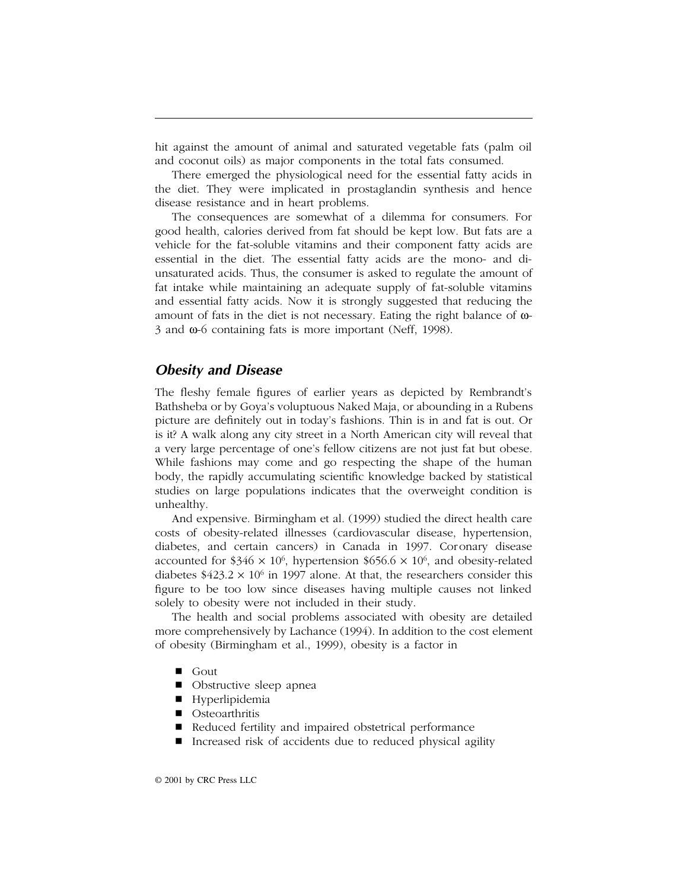hit against the amount of animal and saturated vegetable fats (palm oil and coconut oils) as major components in the total fats consumed.

There emerged the physiological need for the essential fatty acids in the diet. They were implicated in prostaglandin synthesis and hence disease resistance and in heart problems.

The consequences are somewhat of a dilemma for consumers. For good health, calories derived from fat should be kept low. But fats are a vehicle for the fat-soluble vitamins and their component fatty acids are essential in the diet. The essential fatty acids are the mono- and diunsaturated acids. Thus, the consumer is asked to regulate the amount of fat intake while maintaining an adequate supply of fat-soluble vitamins and essential fatty acids. Now it is strongly suggested that reducing the amount of fats in the diet is not necessary. Eating the right balance of ω-3 and ω-6 containing fats is more important (Neff, 1998).

#### *Obesity and Disease*

The fleshy female figures of earlier years as depicted by Rembrandt's Bathsheba or by Goya's voluptuous Naked Maja, or abounding in a Rubens picture are definitely out in today's fashions. Thin is in and fat is out. Or is it? A walk along any city street in a North American city will reveal that a very large percentage of one's fellow citizens are not just fat but obese. While fashions may come and go respecting the shape of the human body, the rapidly accumulating scientific knowledge backed by statistical studies on large populations indicates that the overweight condition is unhealthy.

And expensive. Birmingham et al. (1999) studied the direct health care costs of obesity-related illnesses (cardiovascular disease, hypertension, diabetes, and certain cancers) in Canada in 1997. Coronary disease accounted for  $$346 \times 10^6$ , hypertension  $$656.6 \times 10^6$ , and obesity-related diabetes  $$423.2 \times 10^6$  in 1997 alone. At that, the researchers consider this figure to be too low since diseases having multiple causes not linked solely to obesity were not included in their study.

The health and social problems associated with obesity are detailed more comprehensively by Lachance (1994). In addition to the cost element of obesity (Birmingham et al., 1999), obesity is a factor in

- $\Box$  Gout
- Obstructive sleep apnea
- **Hyperlipidemia**
- Osteoarthritis
- Reduced fertility and impaired obstetrical performance
- Increased risk of accidents due to reduced physical agility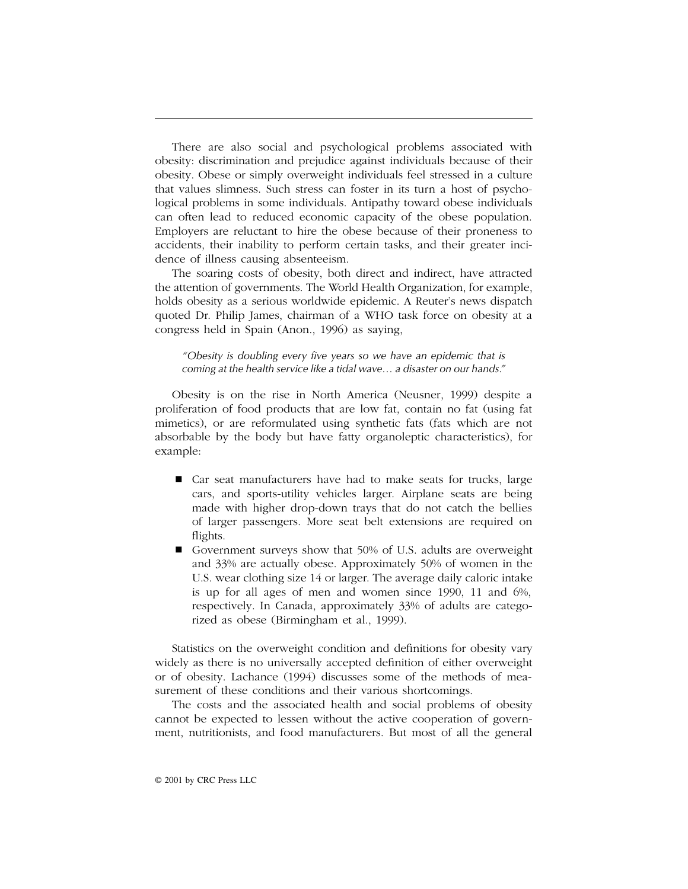There are also social and psychological problems associated with obesity: discrimination and prejudice against individuals because of their obesity. Obese or simply overweight individuals feel stressed in a culture that values slimness. Such stress can foster in its turn a host of psychological problems in some individuals. Antipathy toward obese individuals can often lead to reduced economic capacity of the obese population. Employers are reluctant to hire the obese because of their proneness to accidents, their inability to perform certain tasks, and their greater incidence of illness causing absenteeism.

The soaring costs of obesity, both direct and indirect, have attracted the attention of governments. The World Health Organization, for example, holds obesity as a serious worldwide epidemic. A Reuter's news dispatch quoted Dr. Philip James, chairman of a WHO task force on obesity at a congress held in Spain (Anon., 1996) as saying,

*"Obesity is doubling every five years so we have an epidemic that is coming at the health service like a tidal wave… a disaster on our hands."*

Obesity is on the rise in North America (Neusner, 1999) despite a proliferation of food products that are low fat, contain no fat (using fat mimetics), or are reformulated using synthetic fats (fats which are not absorbable by the body but have fatty organoleptic characteristics), for example:

- Car seat manufacturers have had to make seats for trucks, large cars, and sports-utility vehicles larger. Airplane seats are being made with higher drop-down trays that do not catch the bellies of larger passengers. More seat belt extensions are required on flights.
- Government surveys show that 50% of U.S. adults are overweight and 33% are actually obese. Approximately 50% of women in the U.S. wear clothing size 14 or larger. The average daily caloric intake is up for all ages of men and women since 1990, 11 and 6%, respectively. In Canada, approximately 33% of adults are categorized as obese (Birmingham et al., 1999).

Statistics on the overweight condition and definitions for obesity vary widely as there is no universally accepted definition of either overweight or of obesity. Lachance (1994) discusses some of the methods of measurement of these conditions and their various shortcomings.

The costs and the associated health and social problems of obesity cannot be expected to lessen without the active cooperation of government, nutritionists, and food manufacturers. But most of all the general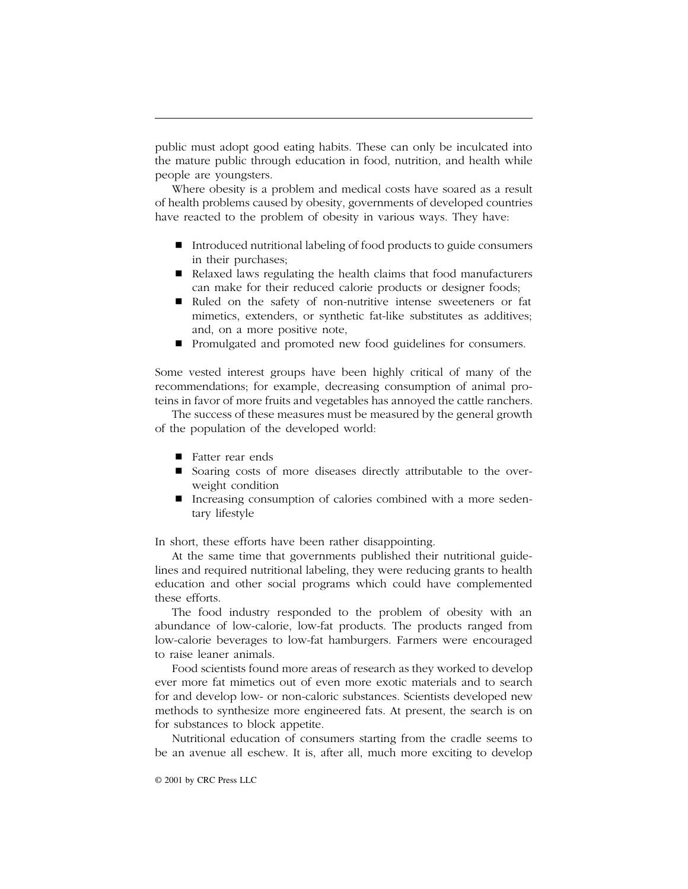public must adopt good eating habits. These can only be inculcated into the mature public through education in food, nutrition, and health while people are youngsters.

Where obesity is a problem and medical costs have soared as a result of health problems caused by obesity, governments of developed countries have reacted to the problem of obesity in various ways. They have:

- Introduced nutritional labeling of food products to guide consumers in their purchases;
- Relaxed laws regulating the health claims that food manufacturers can make for their reduced calorie products or designer foods;
- Ruled on the safety of non-nutritive intense sweeteners or fat mimetics, extenders, or synthetic fat-like substitutes as additives; and, on a more positive note,
- **Promulgated and promoted new food guidelines for consumers.**

Some vested interest groups have been highly critical of many of the recommendations; for example, decreasing consumption of animal proteins in favor of more fruits and vegetables has annoyed the cattle ranchers.

The success of these measures must be measured by the general growth of the population of the developed world:

- Fatter rear ends
- Soaring costs of more diseases directly attributable to the overweight condition
- Increasing consumption of calories combined with a more sedentary lifestyle

In short, these efforts have been rather disappointing.

At the same time that governments published their nutritional guidelines and required nutritional labeling, they were reducing grants to health education and other social programs which could have complemented these efforts.

The food industry responded to the problem of obesity with an abundance of low-calorie, low-fat products. The products ranged from low-calorie beverages to low-fat hamburgers. Farmers were encouraged to raise leaner animals.

Food scientists found more areas of research as they worked to develop ever more fat mimetics out of even more exotic materials and to search for and develop low- or non-caloric substances. Scientists developed new methods to synthesize more engineered fats. At present, the search is on for substances to block appetite.

Nutritional education of consumers starting from the cradle seems to be an avenue all eschew. It is, after all, much more exciting to develop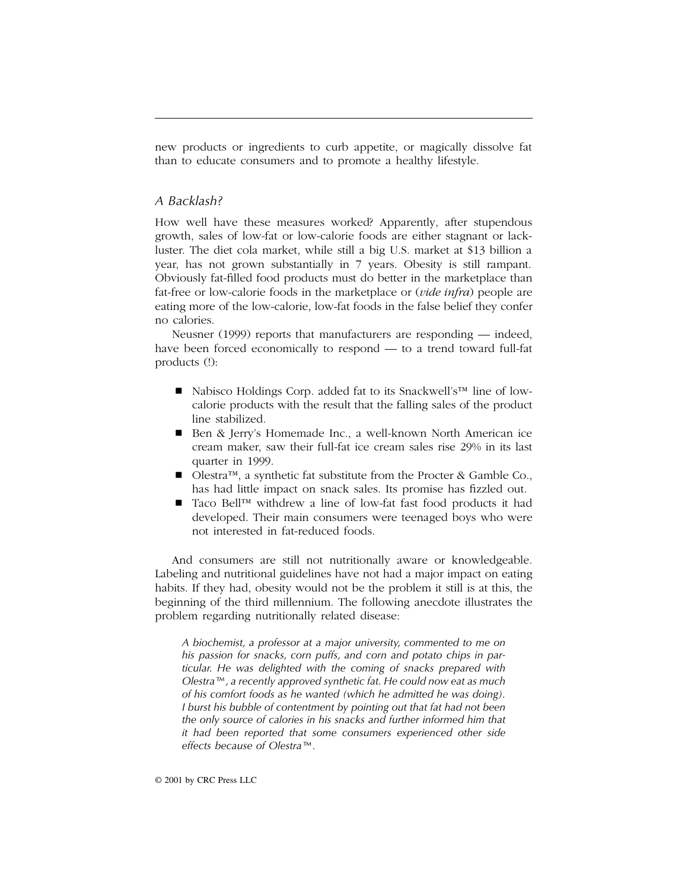new products or ingredients to curb appetite, or magically dissolve fat than to educate consumers and to promote a healthy lifestyle.

#### *A Backlash?*

How well have these measures worked? Apparently, after stupendous growth, sales of low-fat or low-calorie foods are either stagnant or lackluster. The diet cola market, while still a big U.S. market at \$13 billion a year, has not grown substantially in 7 years. Obesity is still rampant. Obviously fat-filled food products must do better in the marketplace than fat-free or low-calorie foods in the marketplace or (*vide infra*) people are eating more of the low-calorie, low-fat foods in the false belief they confer no calories.

Neusner (1999) reports that manufacturers are responding — indeed, have been forced economically to respond — to a trend toward full-fat products (!):

- Nabisco Holdings Corp. added fat to its Snackwell's<sup>™</sup> line of lowcalorie products with the result that the falling sales of the product line stabilized.
- Ben & Jerry's Homemade Inc., a well-known North American ice cream maker, saw their full-fat ice cream sales rise 29% in its last quarter in 1999.
- Olestra™, a synthetic fat substitute from the Procter & Gamble Co., has had little impact on snack sales. Its promise has fizzled out.
- Taco Bell<sup>™</sup> withdrew a line of low-fat fast food products it had developed. Their main consumers were teenaged boys who were not interested in fat-reduced foods.

And consumers are still not nutritionally aware or knowledgeable. Labeling and nutritional guidelines have not had a major impact on eating habits. If they had, obesity would not be the problem it still is at this, the beginning of the third millennium. The following anecdote illustrates the problem regarding nutritionally related disease:

*A biochemist, a professor at a major university, commented to me on his passion for snacks, corn puffs, and corn and potato chips in particular. He was delighted with the coming of snacks prepared with Olestra™, a recently approved synthetic fat. He could now eat as much of his comfort foods as he wanted (which he admitted he was doing). I burst his bubble of contentment by pointing out that fat had not been the only source of calories in his snacks and further informed him that it had been reported that some consumers experienced other side effects because of Olestra™.*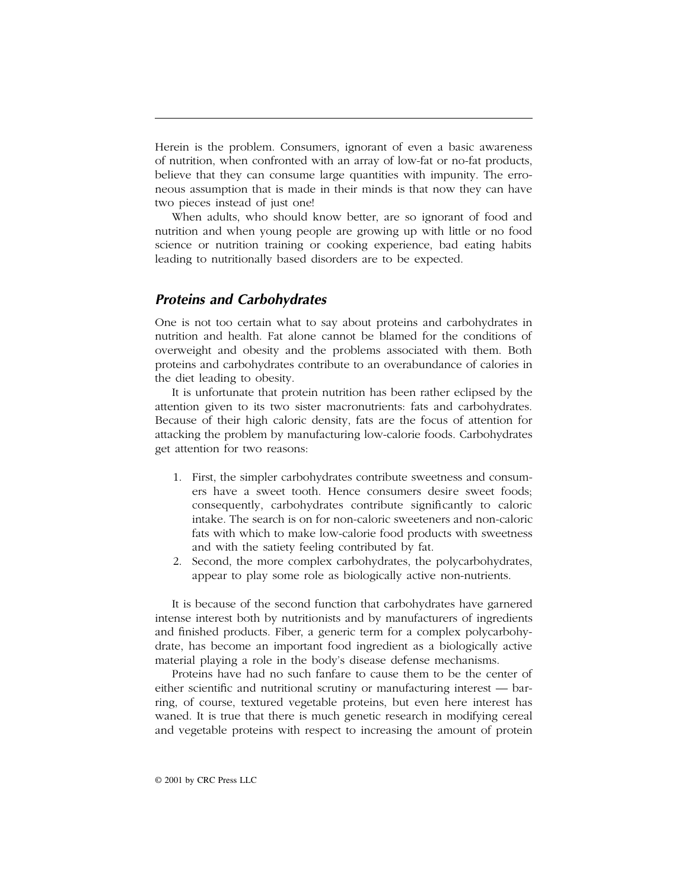Herein is the problem. Consumers, ignorant of even a basic awareness of nutrition, when confronted with an array of low-fat or no-fat products, believe that they can consume large quantities with impunity. The erroneous assumption that is made in their minds is that now they can have two pieces instead of just one!

When adults, who should know better, are so ignorant of food and nutrition and when young people are growing up with little or no food science or nutrition training or cooking experience, bad eating habits leading to nutritionally based disorders are to be expected.

#### *Proteins and Carbohydrates*

One is not too certain what to say about proteins and carbohydrates in nutrition and health. Fat alone cannot be blamed for the conditions of overweight and obesity and the problems associated with them. Both proteins and carbohydrates contribute to an overabundance of calories in the diet leading to obesity.

It is unfortunate that protein nutrition has been rather eclipsed by the attention given to its two sister macronutrients: fats and carbohydrates. Because of their high caloric density, fats are the focus of attention for attacking the problem by manufacturing low-calorie foods. Carbohydrates get attention for two reasons:

- 1. First, the simpler carbohydrates contribute sweetness and consumers have a sweet tooth. Hence consumers desire sweet foods; consequently, carbohydrates contribute significantly to caloric intake. The search is on for non-caloric sweeteners and non-caloric fats with which to make low-calorie food products with sweetness and with the satiety feeling contributed by fat.
- 2. Second, the more complex carbohydrates, the polycarbohydrates, appear to play some role as biologically active non-nutrients.

It is because of the second function that carbohydrates have garnered intense interest both by nutritionists and by manufacturers of ingredients and finished products. Fiber, a generic term for a complex polycarbohydrate, has become an important food ingredient as a biologically active material playing a role in the body's disease defense mechanisms.

Proteins have had no such fanfare to cause them to be the center of either scientific and nutritional scrutiny or manufacturing interest — barring, of course, textured vegetable proteins, but even here interest has waned. It is true that there is much genetic research in modifying cereal and vegetable proteins with respect to increasing the amount of protein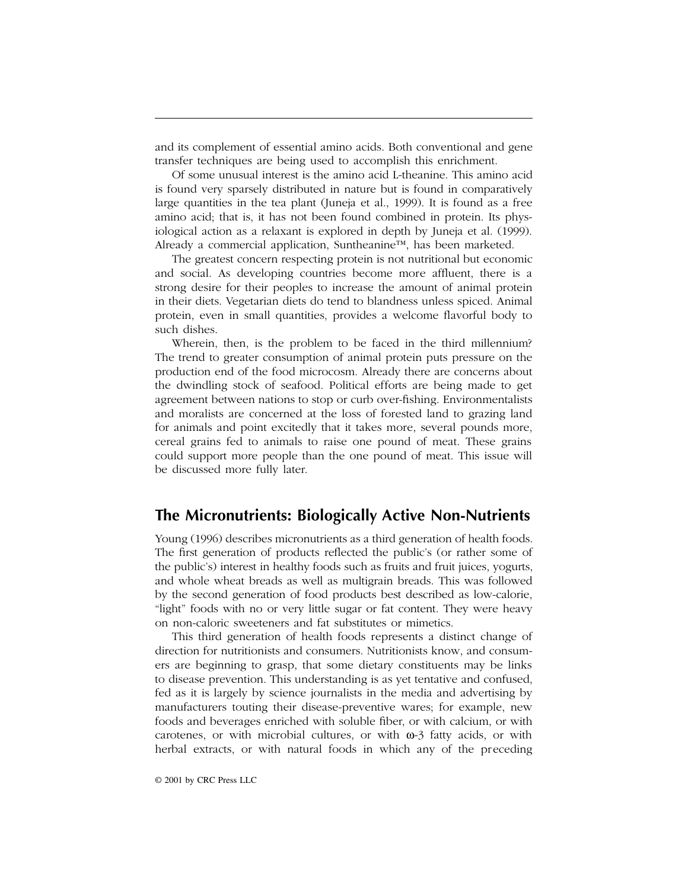and its complement of essential amino acids. Both conventional and gene transfer techniques are being used to accomplish this enrichment.

Of some unusual interest is the amino acid L-theanine. This amino acid is found very sparsely distributed in nature but is found in comparatively large quantities in the tea plant (Juneja et al., 1999). It is found as a free amino acid; that is, it has not been found combined in protein. Its physiological action as a relaxant is explored in depth by Juneja et al. (1999). Already a commercial application, Suntheanine™, has been marketed.

The greatest concern respecting protein is not nutritional but economic and social. As developing countries become more affluent, there is a strong desire for their peoples to increase the amount of animal protein in their diets. Vegetarian diets do tend to blandness unless spiced. Animal protein, even in small quantities, provides a welcome flavorful body to such dishes.

Wherein, then, is the problem to be faced in the third millennium? The trend to greater consumption of animal protein puts pressure on the production end of the food microcosm. Already there are concerns about the dwindling stock of seafood. Political efforts are being made to get agreement between nations to stop or curb over-fishing. Environmentalists and moralists are concerned at the loss of forested land to grazing land for animals and point excitedly that it takes more, several pounds more, cereal grains fed to animals to raise one pound of meat. These grains could support more people than the one pound of meat. This issue will be discussed more fully later.

#### **The Micronutrients: Biologically Active Non-Nutrients**

Young (1996) describes micronutrients as a third generation of health foods. The first generation of products reflected the public's (or rather some of the public's) interest in healthy foods such as fruits and fruit juices, yogurts, and whole wheat breads as well as multigrain breads. This was followed by the second generation of food products best described as low-calorie, "light" foods with no or very little sugar or fat content. They were heavy on non-caloric sweeteners and fat substitutes or mimetics.

This third generation of health foods represents a distinct change of direction for nutritionists and consumers. Nutritionists know, and consumers are beginning to grasp, that some dietary constituents may be links to disease prevention. This understanding is as yet tentative and confused, fed as it is largely by science journalists in the media and advertising by manufacturers touting their disease-preventive wares; for example, new foods and beverages enriched with soluble fiber, or with calcium, or with carotenes, or with microbial cultures, or with  $\omega$ -3 fatty acids, or with herbal extracts, or with natural foods in which any of the preceding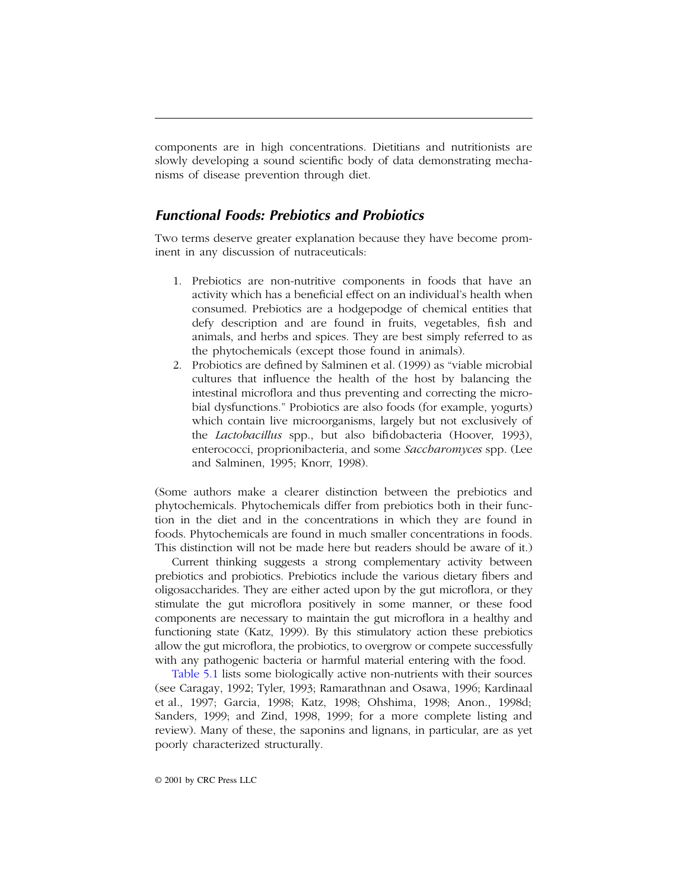components are in high concentrations. Dietitians and nutritionists are slowly developing a sound scientific body of data demonstrating mechanisms of disease prevention through diet.

#### *Functional Foods: Prebiotics and Probiotics*

Two terms deserve greater explanation because they have become prominent in any discussion of nutraceuticals:

- 1. Prebiotics are non-nutritive components in foods that have an activity which has a beneficial effect on an individual's health when consumed. Prebiotics are a hodgepodge of chemical entities that defy description and are found in fruits, vegetables, fish and animals, and herbs and spices. They are best simply referred to as the phytochemicals (except those found in animals).
- 2. Probiotics are defined by Salminen et al. (1999) as "viable microbial cultures that influence the health of the host by balancing the intestinal microflora and thus preventing and correcting the microbial dysfunctions." Probiotics are also foods (for example, yogurts) which contain live microorganisms, largely but not exclusively of the *Lactobacillus* spp., but also bifidobacteria (Hoover, 1993), enterococci, proprionibacteria, and some *Saccharomyces* spp. (Lee and Salminen, 1995; Knorr, 1998).

(Some authors make a clearer distinction between the prebiotics and phytochemicals. Phytochemicals differ from prebiotics both in their function in the diet and in the concentrations in which they are found in foods. Phytochemicals are found in much smaller concentrations in foods. This distinction will not be made here but readers should be aware of it.)

Current thinking suggests a strong complementary activity between prebiotics and probiotics. Prebiotics include the various dietary fibers and oligosaccharides. They are either acted upon by the gut microflora, or they stimulate the gut microflora positively in some manner, or these food components are necessary to maintain the gut microflora in a healthy and functioning state (Katz, 1999). By this stimulatory action these prebiotics allow the gut microflora, the probiotics, to overgrow or compete successfully with any pathogenic bacteria or harmful material entering with the food.

[Table 5.1](#page-11-0) lists some biologically active non-nutrients with their sources (see Caragay, 1992; Tyler, 1993; Ramarathnan and Osawa, 1996; Kardinaal et al., 1997; Garcia, 1998; Katz, 1998; Ohshima, 1998; Anon., 1998d; Sanders, 1999; and Zind, 1998, 1999; for a more complete listing and review). Many of these, the saponins and lignans, in particular, are as yet poorly characterized structurally.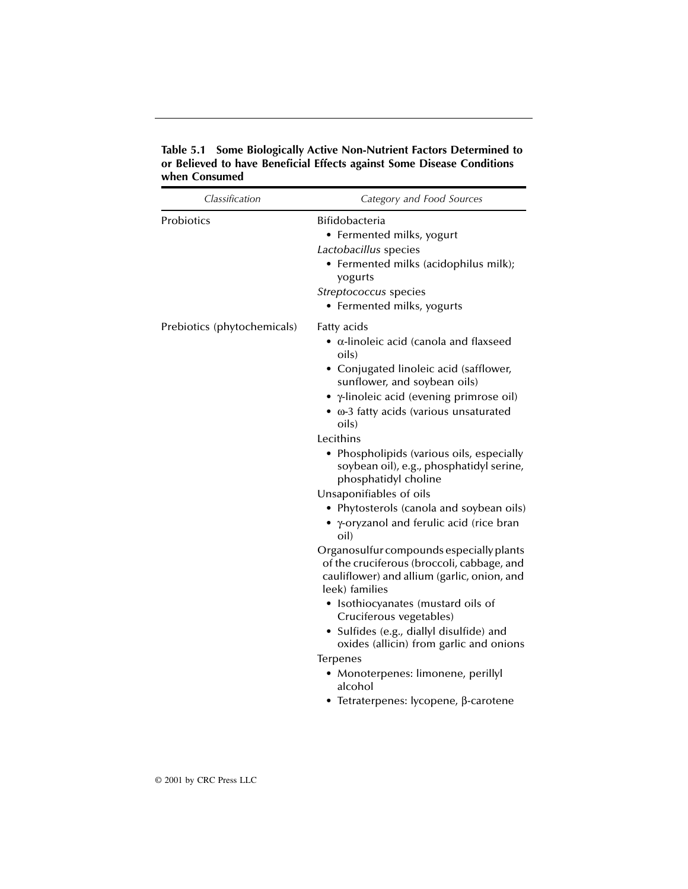| Classification              | Category and Food Sources                                                                                                                                                                                                                                                                                                                                                                                                                                                                                                                                                                                                                                                                                                                                                                                                                                                                                                                                |
|-----------------------------|----------------------------------------------------------------------------------------------------------------------------------------------------------------------------------------------------------------------------------------------------------------------------------------------------------------------------------------------------------------------------------------------------------------------------------------------------------------------------------------------------------------------------------------------------------------------------------------------------------------------------------------------------------------------------------------------------------------------------------------------------------------------------------------------------------------------------------------------------------------------------------------------------------------------------------------------------------|
| Probiotics                  | Bifidobacteria<br>• Fermented milks, yogurt<br>Lactobacillus species<br>• Fermented milks (acidophilus milk);<br>yogurts<br>Streptococcus species<br>• Fermented milks, yogurts                                                                                                                                                                                                                                                                                                                                                                                                                                                                                                                                                                                                                                                                                                                                                                          |
| Prebiotics (phytochemicals) | Fatty acids<br>$\bullet$ $\alpha$ -linoleic acid (canola and flaxseed<br>oils)<br>• Conjugated linoleic acid (safflower,<br>sunflower, and soybean oils)<br>• γ-linoleic acid (evening primrose oil)<br>• $\omega$ -3 fatty acids (various unsaturated<br>oils)<br>Lecithins<br>• Phospholipids (various oils, especially<br>soybean oil), e.g., phosphatidyl serine,<br>phosphatidyl choline<br>Unsaponifiables of oils<br>• Phytosterols (canola and soybean oils)<br>• y-oryzanol and ferulic acid (rice bran<br>oil)<br>Organosulfur compounds especially plants<br>of the cruciferous (broccoli, cabbage, and<br>cauliflower) and allium (garlic, onion, and<br>leek) families<br>· Isothiocyanates (mustard oils of<br>Cruciferous vegetables)<br>· Sulfides (e.g., diallyl disulfide) and<br>oxides (allicin) from garlic and onions<br>Terpenes<br>• Monoterpenes: limonene, perillyl<br>alcohol<br>• Tetraterpenes: lycopene, $\beta$ -carotene |

#### <span id="page-11-0"></span>**Table 5.1 Some Biologically Active Non-Nutrient Factors Determined to or Believed to have Beneficial Effects against Some Disease Conditions when Consumed**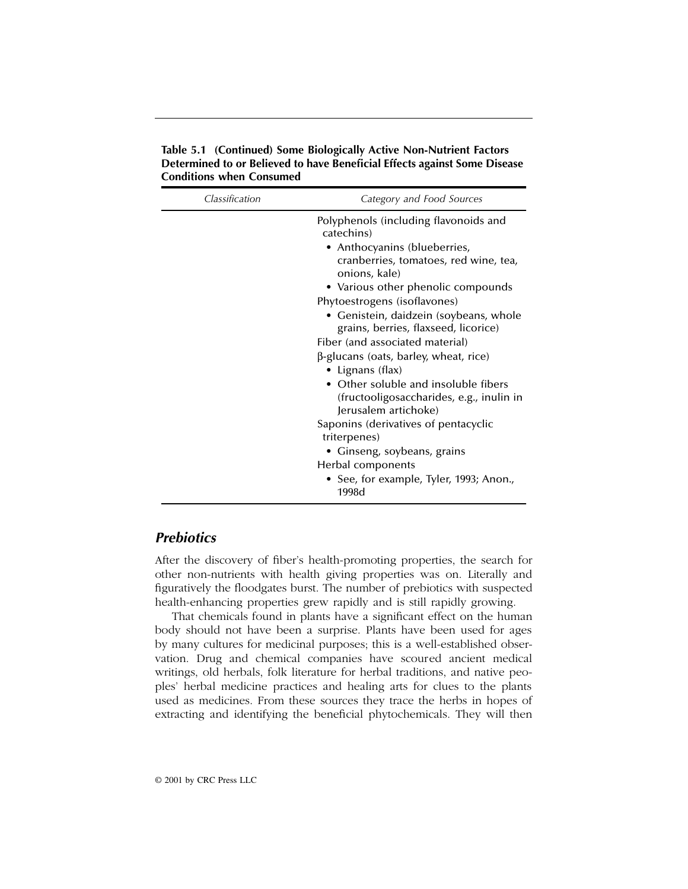| Classification | Category and Food Sources                                                                                |
|----------------|----------------------------------------------------------------------------------------------------------|
|                | Polyphenols (including flavonoids and<br>catechins)                                                      |
|                | • Anthocyanins (blueberries,<br>cranberries, tomatoes, red wine, tea,<br>onions, kale)                   |
|                | • Various other phenolic compounds<br>Phytoestrogens (isoflavones)                                       |
|                | • Genistein, daidzein (soybeans, whole<br>grains, berries, flaxseed, licorice)                           |
|                | Fiber (and associated material)                                                                          |
|                | $\beta$ -glucans (oats, barley, wheat, rice)                                                             |
|                | $\bullet$ Lignans (flax)                                                                                 |
|                | • Other soluble and insoluble fibers<br>(fructooligosaccharides, e.g., inulin in<br>Jerusalem artichoke) |
|                | Saponins (derivatives of pentacyclic<br>triterpenes)                                                     |
|                | • Ginseng, soybeans, grains                                                                              |
|                | Herbal components                                                                                        |
|                | • See, for example, Tyler, 1993; Anon.,<br>1998d                                                         |

**Table 5.1 (Continued) Some Biologically Active Non-Nutrient Factors Determined to or Believed to have Beneficial Effects against Some Disease Conditions when Consumed**

#### *Prebiotics*

After the discovery of fiber's health-promoting properties, the search for other non-nutrients with health giving properties was on. Literally and figuratively the floodgates burst. The number of prebiotics with suspected health-enhancing properties grew rapidly and is still rapidly growing.

That chemicals found in plants have a significant effect on the human body should not have been a surprise. Plants have been used for ages by many cultures for medicinal purposes; this is a well-established observation. Drug and chemical companies have scoured ancient medical writings, old herbals, folk literature for herbal traditions, and native peoples' herbal medicine practices and healing arts for clues to the plants used as medicines. From these sources they trace the herbs in hopes of extracting and identifying the beneficial phytochemicals. They will then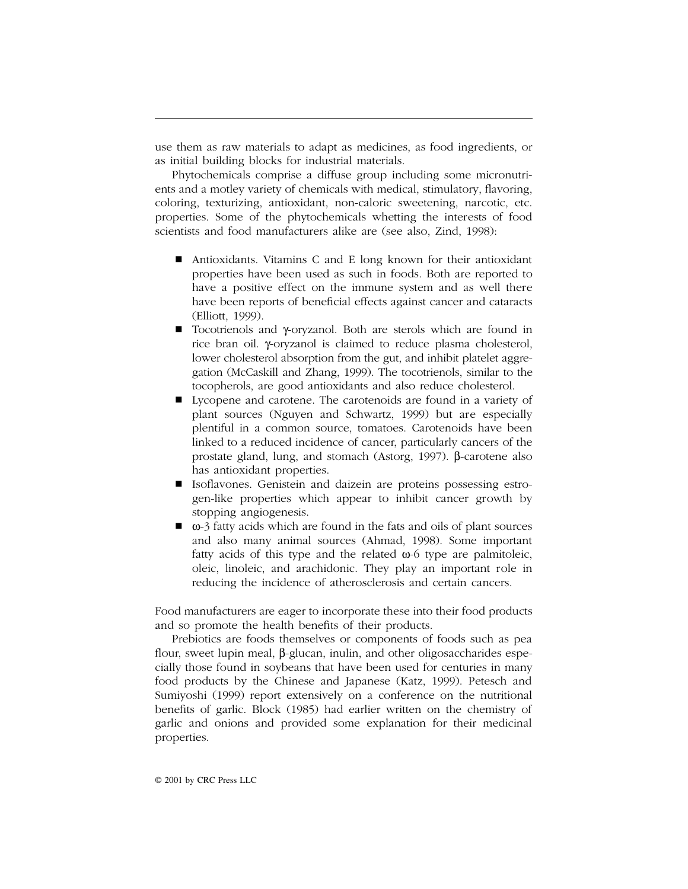<span id="page-13-0"></span>use them as raw materials to adapt as medicines, as food ingredients, or as initial building blocks for industrial materials.

Phytochemicals comprise a diffuse group including some micronutrients and a motley variety of chemicals with medical, stimulatory, flavoring, coloring, texturizing, antioxidant, non-caloric sweetening, narcotic, etc. properties. Some of the phytochemicals whetting the interests of food scientists and food manufacturers alike are (see also, Zind, 1998):

- Antioxidants. Vitamins C and E long known for their antioxidant properties have been used as such in foods. Both are reported to have a positive effect on the immune system and as well there have been reports of beneficial effects against cancer and cataracts (Elliott, 1999).
- Tocotrienols and γ-oryzanol. Both are sterols which are found in rice bran oil. γ-oryzanol is claimed to reduce plasma cholesterol, lower cholesterol absorption from the gut, and inhibit platelet aggregation (McCaskill and Zhang, 1999). The tocotrienols, similar to the tocopherols, are good antioxidants and also reduce cholesterol.
- Lycopene and carotene. The carotenoids are found in a variety of plant sources (Nguyen and Schwartz, 1999) but are especially plentiful in a common source, tomatoes. Carotenoids have been linked to a reduced incidence of cancer, particularly cancers of the prostate gland, lung, and stomach (Astorg, 1997). β-carotene also has antioxidant properties.
- Isoflavones. Genistein and daizein are proteins possessing estrogen-like properties which appear to inhibit cancer growth by stopping angiogenesis.
- ω-3 fatty acids which are found in the fats and oils of plant sources and also many animal sources (Ahmad, 1998). Some important fatty acids of this type and the related  $\omega$ -6 type are palmitoleic, oleic, linoleic, and arachidonic. They play an important role in reducing the incidence of atherosclerosis and certain cancers.

Food manufacturers are eager to incorporate these into their food products and so promote the health benefits of their products.

Prebiotics are foods themselves or components of foods such as pea flour, sweet lupin meal, β-glucan, inulin, and other oligosaccharides especially those found in soybeans that have been used for centuries in many food products by the Chinese and Japanese (Katz, 1999). Petesch and Sumiyoshi (1999) report extensively on a conference on the nutritional benefits of garlic. Block (1985) had earlier written on the chemistry of garlic and onions and provided some explanation for their medicinal properties.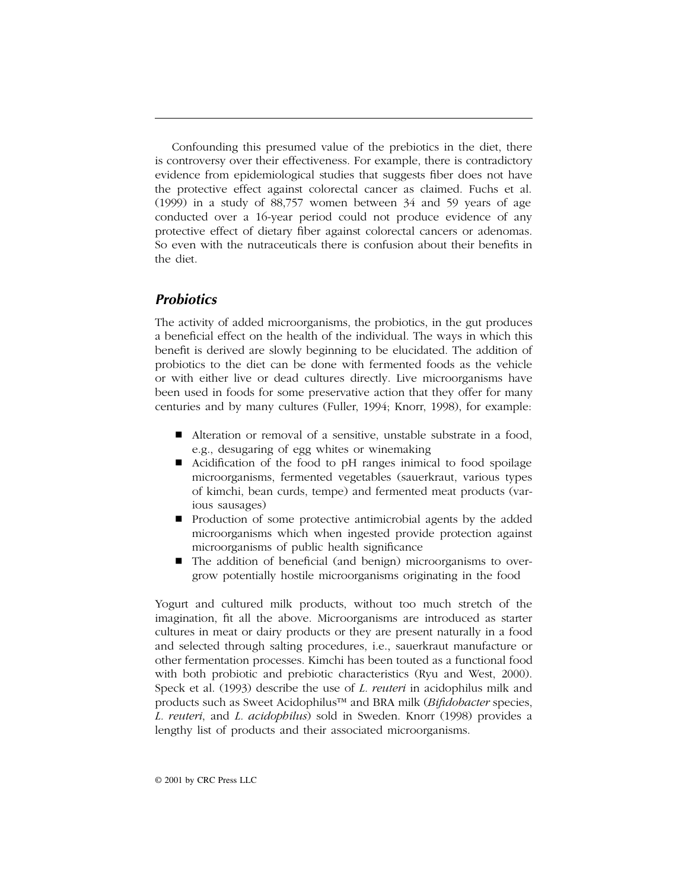Confounding this presumed value of the prebiotics in the diet, there is controversy over their effectiveness. For example, there is contradictory evidence from epidemiological studies that suggests fiber does not have the protective effect against colorectal cancer as claimed. Fuchs et al. (1999) in a study of 88,757 women between 34 and 59 years of age conducted over a 16-year period could not produce evidence of any protective effect of dietary fiber against colorectal cancers or adenomas. So even with the nutraceuticals there is confusion about their benefits in the diet.

#### *Probiotics*

The activity of added microorganisms, the probiotics, in the gut produces a beneficial effect on the health of the individual. The ways in which this benefit is derived are slowly beginning to be elucidated. The addition of probiotics to the diet can be done with fermented foods as the vehicle or with either live or dead cultures directly. Live microorganisms have been used in foods for some preservative action that they offer for many centuries and by many cultures (Fuller, 1994; Knorr, 1998), for example:

- Alteration or removal of a sensitive, unstable substrate in a food, e.g., desugaring of egg whites or winemaking
- Acidification of the food to pH ranges inimical to food spoilage microorganisms, fermented vegetables (sauerkraut, various types of kimchi, bean curds, tempe) and fermented meat products (various sausages)
- **Production of some protective antimicrobial agents by the added** microorganisms which when ingested provide protection against microorganisms of public health significance
- The addition of beneficial (and benign) microorganisms to overgrow potentially hostile microorganisms originating in the food

Yogurt and cultured milk products, without too much stretch of the imagination, fit all the above. Microorganisms are introduced as starter cultures in meat or dairy products or they are present naturally in a food and selected through salting procedures, i.e., sauerkraut manufacture or other fermentation processes. Kimchi has been touted as a functional food with both probiotic and prebiotic characteristics (Ryu and West, 2000). Speck et al. (1993) describe the use of *L. reuteri* in acidophilus milk and products such as Sweet Acidophilus™ and BRA milk (*Bifidobacter* species, *L. reuteri*, and *L. acidophilus*) sold in Sweden. Knorr (1998) provides a lengthy list of products and their associated microorganisms.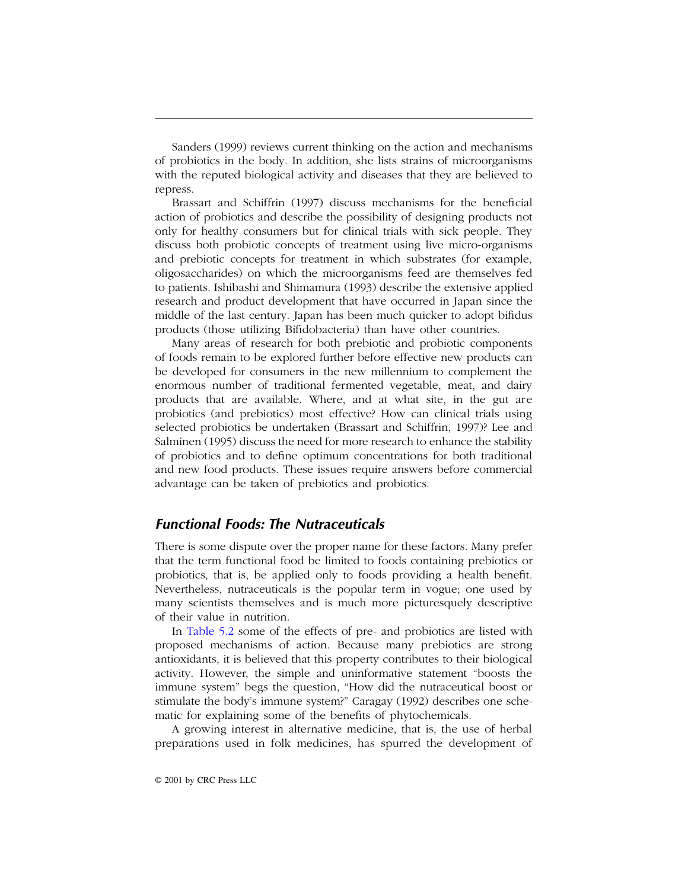Sanders (1999) reviews current thinking on the action and mechanisms of probiotics in the body. In addition, she lists strains of microorganisms with the reputed biological activity and diseases that they are believed to repress.

Brassart and Schiffrin (1997) discuss mechanisms for the beneficial action of probiotics and describe the possibility of designing products not only for healthy consumers but for clinical trials with sick people. They discuss both probiotic concepts of treatment using live micro-organisms and prebiotic concepts for treatment in which substrates (for example, oligosaccharides) on which the microorganisms feed are themselves fed to patients. Ishibashi and Shimamura (1993) describe the extensive applied research and product development that have occurred in Japan since the middle of the last century. Japan has been much quicker to adopt bifidus products (those utilizing Bifidobacteria) than have other countries.

Many areas of research for both prebiotic and probiotic components of foods remain to be explored further before effective new products can be developed for consumers in the new millennium to complement the enormous number of traditional fermented vegetable, meat, and dairy products that are available. Where, and at what site, in the gut are probiotics (and prebiotics) most effective? How can clinical trials using selected probiotics be undertaken (Brassart and Schiffrin, 1997)? Lee and Salminen (1995) discuss the need for more research to enhance the stability of probiotics and to define optimum concentrations for both traditional and new food products. These issues require answers before commercial advantage can be taken of prebiotics and probiotics.

#### *Functional Foods: The Nutraceuticals*

There is some dispute over the proper name for these factors. Many prefer that the term functional food be limited to foods containing prebiotics or probiotics, that is, be applied only to foods providing a health benefit. Nevertheless, nutraceuticals is the popular term in vogue; one used by many scientists themselves and is much more picturesquely descriptive of their value in nutrition.

In [Table 5.2](#page-16-0) some of the effects of pre- and probiotics are listed with proposed mechanisms of action. Because many prebiotics are strong antioxidants, it is believed that this property contributes to their biological activity. However, the simple and uninformative statement "boosts the immune system" begs the question, "How did the nutraceutical boost or stimulate the body's immune system?" Caragay (1992) describes one schematic for explaining some of the benefits of phytochemicals.

A growing interest in alternative medicine, that is, the use of herbal preparations used in folk medicines, has spurred the development of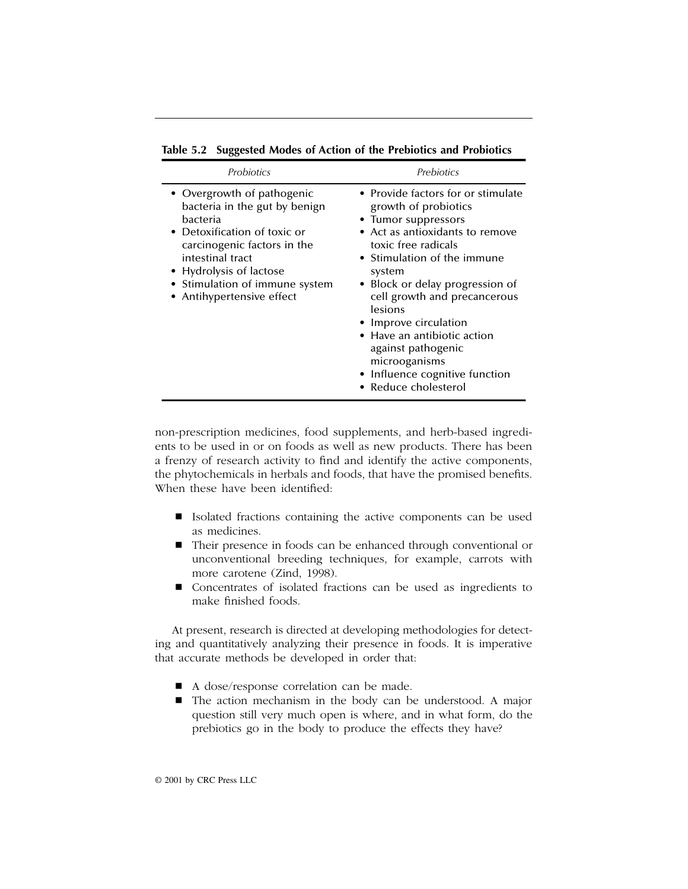| Probiotics                                                                                                                                                                                                                                           | Prebiotics                                                                                                                                                                                                                                                                                                                                                                                                                |
|------------------------------------------------------------------------------------------------------------------------------------------------------------------------------------------------------------------------------------------------------|---------------------------------------------------------------------------------------------------------------------------------------------------------------------------------------------------------------------------------------------------------------------------------------------------------------------------------------------------------------------------------------------------------------------------|
| • Overgrowth of pathogenic<br>bacteria in the gut by benign<br>bacteria<br>• Detoxification of toxic or<br>carcinogenic factors in the<br>intestinal tract<br>• Hydrolysis of lactose<br>• Stimulation of immune system<br>• Antihypertensive effect | • Provide factors for or stimulate<br>growth of probiotics<br>• Tumor suppressors<br>• Act as antioxidants to remove<br>toxic free radicals<br>• Stimulation of the immune<br>system<br>Block or delay progression of<br>cell growth and precancerous<br>lesions<br>• Improve circulation<br>• Have an antibiotic action<br>against pathogenic<br>microoganisms<br>• Influence cognitive function<br>• Reduce cholesterol |

<span id="page-16-0"></span>**Table 5.2 Suggested Modes of Action of the Prebiotics and Probiotics**

non-prescription medicines, food supplements, and herb-based ingredients to be used in or on foods as well as new products. There has been a frenzy of research activity to find and identify the active components, the phytochemicals in herbals and foods, that have the promised benefits. When these have been identified:

- Isolated fractions containing the active components can be used as medicines.
- Their presence in foods can be enhanced through conventional or unconventional breeding techniques, for example, carrots with more carotene (Zind, 1998).
- Concentrates of isolated fractions can be used as ingredients to make finished foods.

At present, research is directed at developing methodologies for detecting and quantitatively analyzing their presence in foods. It is imperative that accurate methods be developed in order that:

- A dose/response correlation can be made.
- The action mechanism in the body can be understood. A major question still very much open is where, and in what form, do the prebiotics go in the body to produce the effects they have?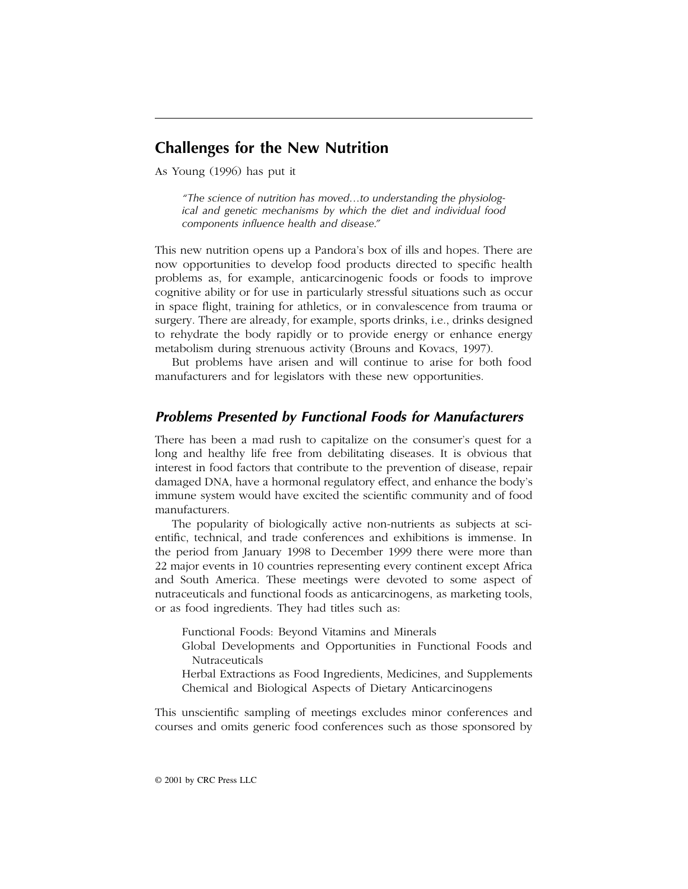## **Challenges for the New Nutrition**

As Young (1996) has put it

*"The science of nutrition has moved…to understanding the physiological and genetic mechanisms by which the diet and individual food components influence health and disease."*

This new nutrition opens up a Pandora's box of ills and hopes. There are now opportunities to develop food products directed to specific health problems as, for example, anticarcinogenic foods or foods to improve cognitive ability or for use in particularly stressful situations such as occur in space flight, training for athletics, or in convalescence from trauma or surgery. There are already, for example, sports drinks, i.e., drinks designed to rehydrate the body rapidly or to provide energy or enhance energy metabolism during strenuous activity (Brouns and Kovacs, 1997).

But problems have arisen and will continue to arise for both food manufacturers and for legislators with these new opportunities.

#### *Problems Presented by Functional Foods for Manufacturers*

There has been a mad rush to capitalize on the consumer's quest for a long and healthy life free from debilitating diseases. It is obvious that interest in food factors that contribute to the prevention of disease, repair damaged DNA, have a hormonal regulatory effect, and enhance the body's immune system would have excited the scientific community and of food manufacturers.

The popularity of biologically active non-nutrients as subjects at scientific, technical, and trade conferences and exhibitions is immense. In the period from January 1998 to December 1999 there were more than 22 major events in 10 countries representing every continent except Africa and South America. These meetings were devoted to some aspect of nutraceuticals and functional foods as anticarcinogens, as marketing tools, or as food ingredients. They had titles such as:

Functional Foods: Beyond Vitamins and Minerals

Global Developments and Opportunities in Functional Foods and Nutraceuticals

Herbal Extractions as Food Ingredients, Medicines, and Supplements Chemical and Biological Aspects of Dietary Anticarcinogens

This unscientific sampling of meetings excludes minor conferences and courses and omits generic food conferences such as those sponsored by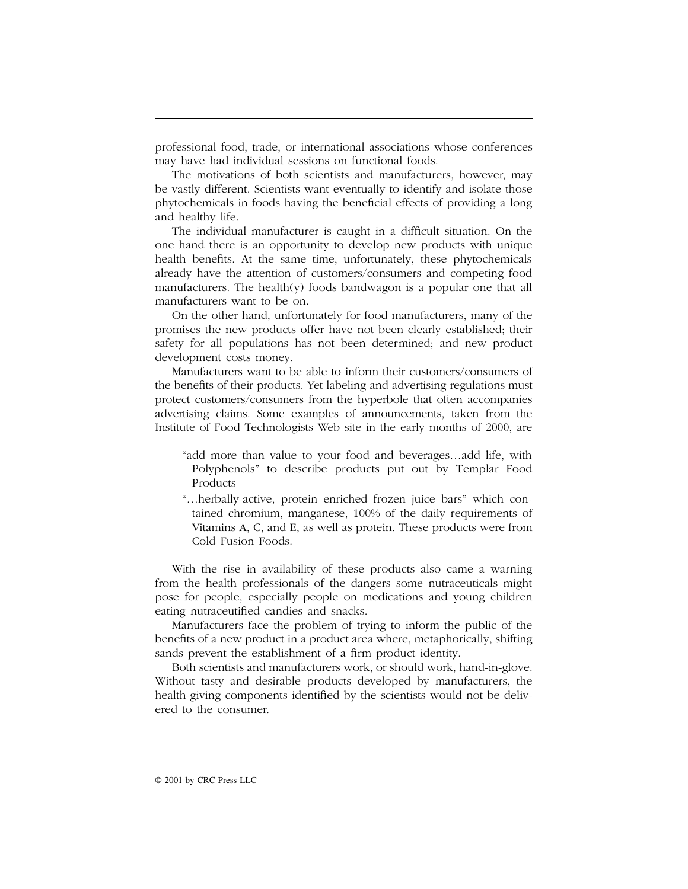professional food, trade, or international associations whose conferences may have had individual sessions on functional foods.

The motivations of both scientists and manufacturers, however, may be vastly different. Scientists want eventually to identify and isolate those phytochemicals in foods having the beneficial effects of providing a long and healthy life.

The individual manufacturer is caught in a difficult situation. On the one hand there is an opportunity to develop new products with unique health benefits. At the same time, unfortunately, these phytochemicals already have the attention of customers/consumers and competing food manufacturers. The health(y) foods bandwagon is a popular one that all manufacturers want to be on.

On the other hand, unfortunately for food manufacturers, many of the promises the new products offer have not been clearly established; their safety for all populations has not been determined; and new product development costs money.

Manufacturers want to be able to inform their customers/consumers of the benefits of their products. Yet labeling and advertising regulations must protect customers/consumers from the hyperbole that often accompanies advertising claims. Some examples of announcements, taken from the Institute of Food Technologists Web site in the early months of 2000, are

- "add more than value to your food and beverages…add life, with Polyphenols" to describe products put out by Templar Food Products
- "…herbally-active, protein enriched frozen juice bars" which contained chromium, manganese, 100% of the daily requirements of Vitamins A, C, and E, as well as protein. These products were from Cold Fusion Foods.

With the rise in availability of these products also came a warning from the health professionals of the dangers some nutraceuticals might pose for people, especially people on medications and young children eating nutraceutified candies and snacks.

Manufacturers face the problem of trying to inform the public of the benefits of a new product in a product area where, metaphorically, shifting sands prevent the establishment of a firm product identity.

Both scientists and manufacturers work, or should work, hand-in-glove. Without tasty and desirable products developed by manufacturers, the health-giving components identified by the scientists would not be delivered to the consumer.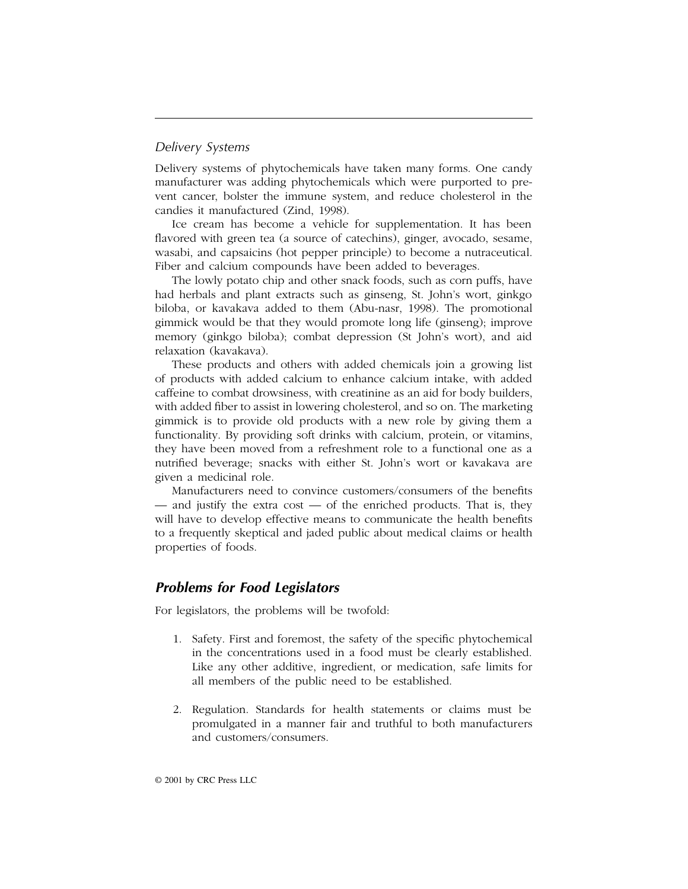#### *Delivery Systems*

Delivery systems of phytochemicals have taken many forms. One candy manufacturer was adding phytochemicals which were purported to prevent cancer, bolster the immune system, and reduce cholesterol in the candies it manufactured (Zind, 1998).

Ice cream has become a vehicle for supplementation. It has been flavored with green tea (a source of catechins), ginger, avocado, sesame, wasabi, and capsaicins (hot pepper principle) to become a nutraceutical. Fiber and calcium compounds have been added to beverages.

The lowly potato chip and other snack foods, such as corn puffs, have had herbals and plant extracts such as ginseng, St. John's wort, ginkgo biloba, or kavakava added to them (Abu-nasr, 1998). The promotional gimmick would be that they would promote long life (ginseng); improve memory (ginkgo biloba); combat depression (St John's wort), and aid relaxation (kavakava).

These products and others with added chemicals join a growing list of products with added calcium to enhance calcium intake, with added caffeine to combat drowsiness, with creatinine as an aid for body builders, with added fiber to assist in lowering cholesterol, and so on. The marketing gimmick is to provide old products with a new role by giving them a functionality. By providing soft drinks with calcium, protein, or vitamins, they have been moved from a refreshment role to a functional one as a nutrified beverage; snacks with either St. John's wort or kavakava are given a medicinal role.

Manufacturers need to convince customers/consumers of the benefits — and justify the extra cost — of the enriched products. That is, they will have to develop effective means to communicate the health benefits to a frequently skeptical and jaded public about medical claims or health properties of foods.

#### *Problems for Food Legislators*

For legislators, the problems will be twofold:

- 1. Safety. First and foremost, the safety of the specific phytochemical in the concentrations used in a food must be clearly established. Like any other additive, ingredient, or medication, safe limits for all members of the public need to be established.
- 2. Regulation. Standards for health statements or claims must be promulgated in a manner fair and truthful to both manufacturers and customers/consumers.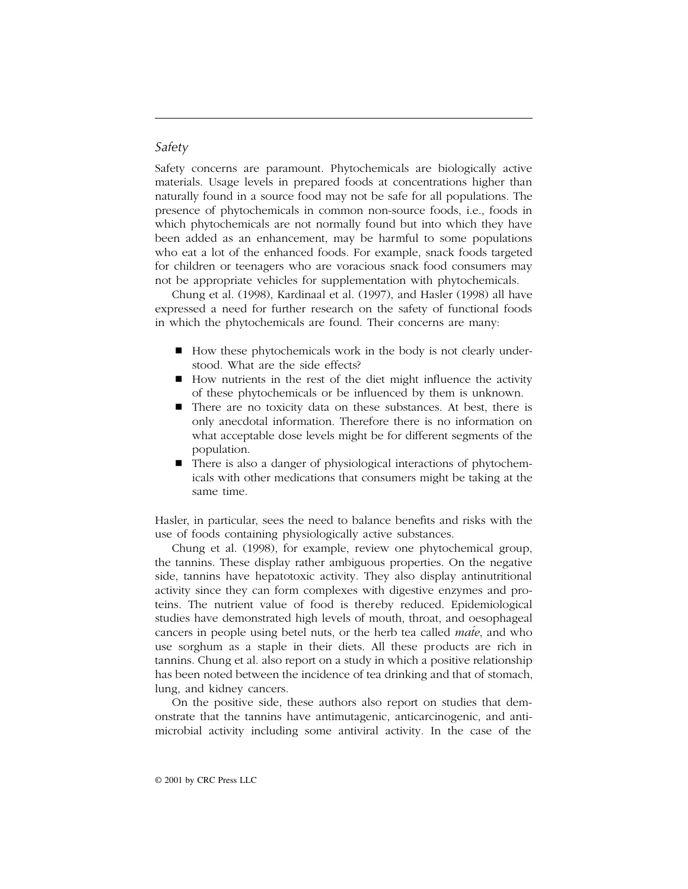#### *Safety*

Safety concerns are paramount. Phytochemicals are biologically active materials. Usage levels in prepared foods at concentrations higher than naturally found in a source food may not be safe for all populations. The presence of phytochemicals in common non-source foods, i.e., foods in which phytochemicals are not normally found but into which they have been added as an enhancement, may be harmful to some populations who eat a lot of the enhanced foods. For example, snack foods targeted for children or teenagers who are voracious snack food consumers may not be appropriate vehicles for supplementation with phytochemicals.

Chung et al. (1998), Kardinaal et al. (1997), and Hasler (1998) all have expressed a need for further research on the safety of functional foods in which the phytochemicals are found. Their concerns are many:

- How these phytochemicals work in the body is not clearly understood. What are the side effects?
- $\blacksquare$  How nutrients in the rest of the diet might influence the activity of these phytochemicals or be influenced by them is unknown.
- There are no toxicity data on these substances. At best, there is only anecdotal information. Therefore there is no information on what acceptable dose levels might be for different segments of the population.
- There is also a danger of physiological interactions of phytochemicals with other medications that consumers might be taking at the same time.

Hasler, in particular, sees the need to balance benefits and risks with the use of foods containing physiologically active substances.

Chung et al. (1998), for example, review one phytochemical group, the tannins. These display rather ambiguous properties. On the negative side, tannins have hepatotoxic activity. They also display antinutritional activity since they can form complexes with digestive enzymes and proteins. The nutrient value of food is thereby reduced. Epidemiological studies have demonstrated high levels of mouth, throat, and oesophageal cancers in people using betel nuts, or the herb tea called *mate*, and who use sorghum as a staple in their diets. All these products are rich in tannins. Chung et al. also report on a study in which a positive relationship has been noted between the incidence of tea drinking and that of stomach, lung, and kidney cancers.

On the positive side, these authors also report on studies that demonstrate that the tannins have antimutagenic, anticarcinogenic, and antimicrobial activity including some antiviral activity. In the case of the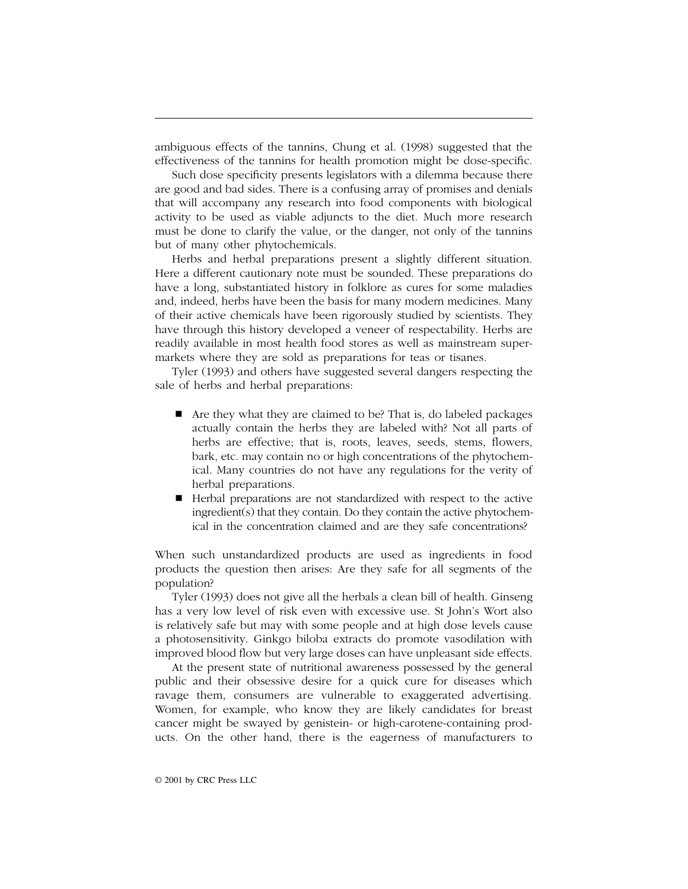ambiguous effects of the tannins, Chung et al. (1998) suggested that the effectiveness of the tannins for health promotion might be dose-specific.

Such dose specificity presents legislators with a dilemma because there are good and bad sides. There is a confusing array of promises and denials that will accompany any research into food components with biological activity to be used as viable adjuncts to the diet. Much more research must be done to clarify the value, or the danger, not only of the tannins but of many other phytochemicals.

Herbs and herbal preparations present a slightly different situation. Here a different cautionary note must be sounded. These preparations do have a long, substantiated history in folklore as cures for some maladies and, indeed, herbs have been the basis for many modern medicines. Many of their active chemicals have been rigorously studied by scientists. They have through this history developed a veneer of respectability. Herbs are readily available in most health food stores as well as mainstream supermarkets where they are sold as preparations for teas or tisanes.

Tyler (1993) and others have suggested several dangers respecting the sale of herbs and herbal preparations:

- Are they what they are claimed to be? That is, do labeled packages actually contain the herbs they are labeled with? Not all parts of herbs are effective; that is, roots, leaves, seeds, stems, flowers, bark, etc. may contain no or high concentrations of the phytochemical. Many countries do not have any regulations for the verity of herbal preparations.
- Herbal preparations are not standardized with respect to the active ingredient(s) that they contain. Do they contain the active phytochemical in the concentration claimed and are they safe concentrations?

When such unstandardized products are used as ingredients in food products the question then arises: Are they safe for all segments of the population?

Tyler (1993) does not give all the herbals a clean bill of health. Ginseng has a very low level of risk even with excessive use. St John's Wort also is relatively safe but may with some people and at high dose levels cause a photosensitivity. Ginkgo biloba extracts do promote vasodilation with improved blood flow but very large doses can have unpleasant side effects.

At the present state of nutritional awareness possessed by the general public and their obsessive desire for a quick cure for diseases which ravage them, consumers are vulnerable to exaggerated advertising. Women, for example, who know they are likely candidates for breast cancer might be swayed by genistein- or high-carotene-containing products. On the other hand, there is the eagerness of manufacturers to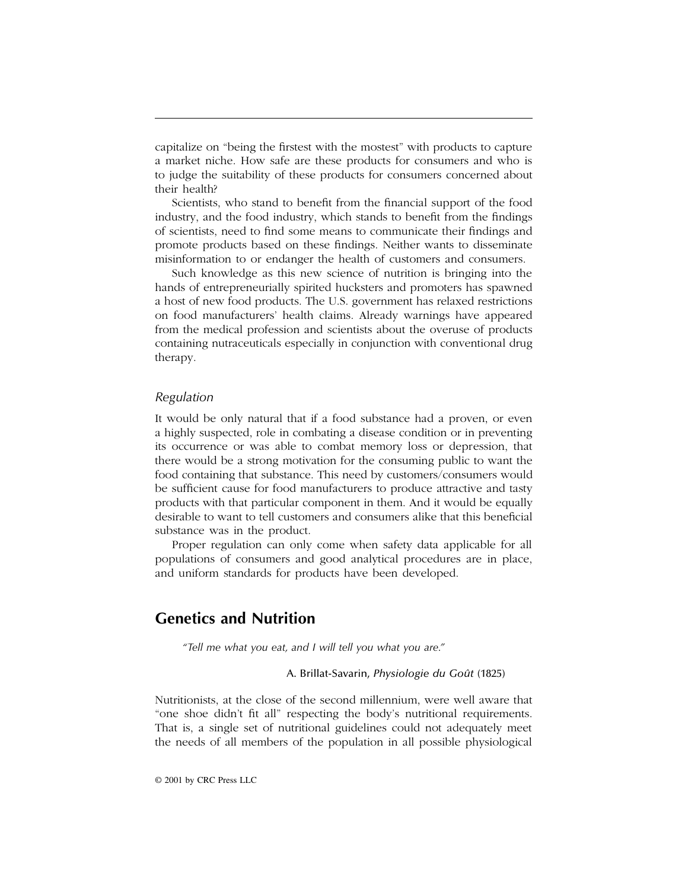capitalize on "being the firstest with the mostest" with products to capture a market niche. How safe are these products for consumers and who is to judge the suitability of these products for consumers concerned about their health?

Scientists, who stand to benefit from the financial support of the food industry, and the food industry, which stands to benefit from the findings of scientists, need to find some means to communicate their findings and promote products based on these findings. Neither wants to disseminate misinformation to or endanger the health of customers and consumers.

Such knowledge as this new science of nutrition is bringing into the hands of entrepreneurially spirited hucksters and promoters has spawned a host of new food products. The U.S. government has relaxed restrictions on food manufacturers' health claims. Already warnings have appeared from the medical profession and scientists about the overuse of products containing nutraceuticals especially in conjunction with conventional drug therapy.

#### *Regulation*

It would be only natural that if a food substance had a proven, or even a highly suspected, role in combating a disease condition or in preventing its occurrence or was able to combat memory loss or depression, that there would be a strong motivation for the consuming public to want the food containing that substance. This need by customers/consumers would be sufficient cause for food manufacturers to produce attractive and tasty products with that particular component in them. And it would be equally desirable to want to tell customers and consumers alike that this beneficial substance was in the product.

Proper regulation can only come when safety data applicable for all populations of consumers and good analytical procedures are in place, and uniform standards for products have been developed.

## **Genetics and Nutrition**

*"Tell me what you eat, and I will tell you what you are."*

#### A. Brillat-Savarin, *Physiologie du Goût* (1825)

Nutritionists, at the close of the second millennium, were well aware that "one shoe didn't fit all" respecting the body's nutritional requirements. That is, a single set of nutritional guidelines could not adequately meet the needs of all members of the population in all possible physiological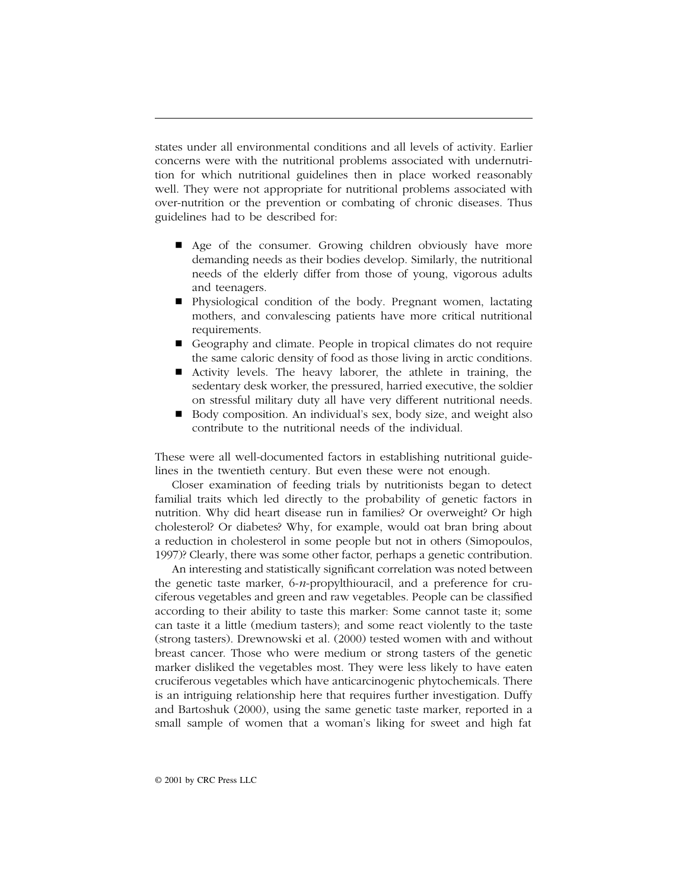states under all environmental conditions and all levels of activity. Earlier concerns were with the nutritional problems associated with undernutrition for which nutritional guidelines then in place worked reasonably well. They were not appropriate for nutritional problems associated with over-nutrition or the prevention or combating of chronic diseases. Thus guidelines had to be described for:

- Age of the consumer. Growing children obviously have more demanding needs as their bodies develop. Similarly, the nutritional needs of the elderly differ from those of young, vigorous adults and teenagers.
- Physiological condition of the body. Pregnant women, lactating mothers, and convalescing patients have more critical nutritional requirements.
- Geography and climate. People in tropical climates do not require the same caloric density of food as those living in arctic conditions.
- Activity levels. The heavy laborer, the athlete in training, the sedentary desk worker, the pressured, harried executive, the soldier on stressful military duty all have very different nutritional needs.
- Body composition. An individual's sex, body size, and weight also contribute to the nutritional needs of the individual.

These were all well-documented factors in establishing nutritional guidelines in the twentieth century. But even these were not enough.

Closer examination of feeding trials by nutritionists began to detect familial traits which led directly to the probability of genetic factors in nutrition. Why did heart disease run in families? Or overweight? Or high cholesterol? Or diabetes? Why, for example, would oat bran bring about a reduction in cholesterol in some people but not in others (Simopoulos, 1997)? Clearly, there was some other factor, perhaps a genetic contribution.

An interesting and statistically significant correlation was noted between the genetic taste marker, 6-*n*-propylthiouracil, and a preference for cruciferous vegetables and green and raw vegetables. People can be classified according to their ability to taste this marker: Some cannot taste it; some can taste it a little (medium tasters); and some react violently to the taste (strong tasters). Drewnowski et al. (2000) tested women with and without breast cancer. Those who were medium or strong tasters of the genetic marker disliked the vegetables most. They were less likely to have eaten cruciferous vegetables which have anticarcinogenic phytochemicals. There is an intriguing relationship here that requires further investigation. Duffy and Bartoshuk (2000), using the same genetic taste marker, reported in a small sample of women that a woman's liking for sweet and high fat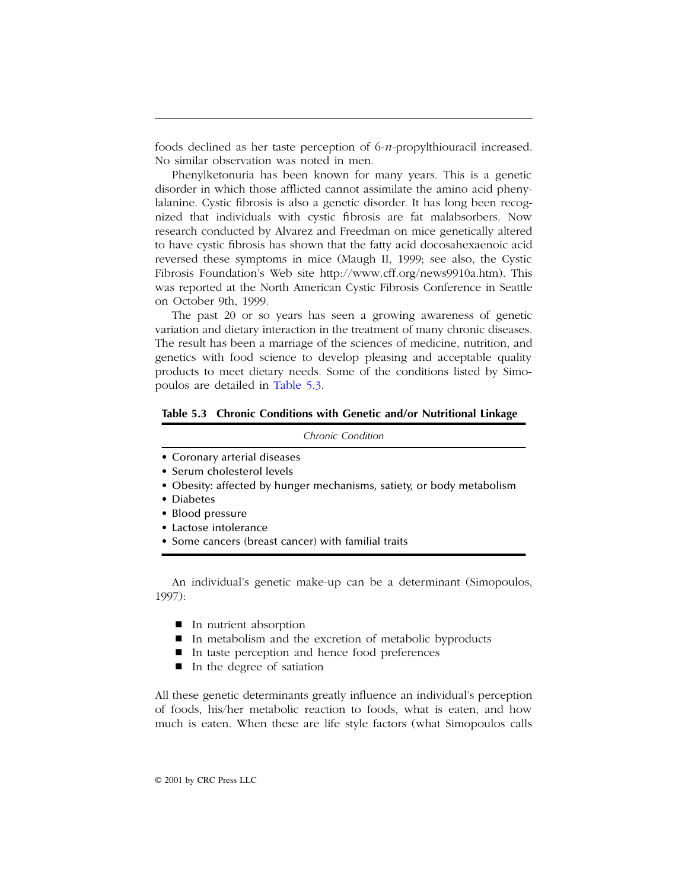foods declined as her taste perception of 6-*n-*propylthiouracil increased. No similar observation was noted in men.

Phenylketonuria has been known for many years. This is a genetic disorder in which those afflicted cannot assimilate the amino acid phenylalanine. Cystic fibrosis is also a genetic disorder. It has long been recognized that individuals with cystic fibrosis are fat malabsorbers. Now research conducted by Alvarez and Freedman on mice genetically altered to have cystic fibrosis has shown that the fatty acid docosahexaenoic acid reversed these symptoms in mice (Maugh II, 1999; see also, the Cystic Fibrosis Foundation's Web site http://www.cff.org/news9910a.htm). This was reported at the North American Cystic Fibrosis Conference in Seattle on October 9th, 1999.

The past 20 or so years has seen a growing awareness of genetic variation and dietary interaction in the treatment of many chronic diseases. The result has been a marriage of the sciences of medicine, nutrition, and genetics with food science to develop pleasing and acceptable quality products to meet dietary needs. Some of the conditions listed by Simopoulos are detailed in Table 5.3.

**Table 5.3 Chronic Conditions with Genetic and/or Nutritional Linkage**

| Chronic Condition                                                     |
|-----------------------------------------------------------------------|
| • Coronary arterial diseases                                          |
| • Serum cholesterol levels                                            |
| • Obesity: affected by hunger mechanisms, satiety, or body metabolism |
| • Diabetes                                                            |
| • Blood pressure                                                      |
|                                                                       |

- Lactose intolerance
- Some cancers (breast cancer) with familial traits

An individual's genetic make-up can be a determinant (Simopoulos, 1997):

- In nutrient absorption
- In metabolism and the excretion of metabolic byproducts
- In taste perception and hence food preferences
- In the degree of satiation

All these genetic determinants greatly influence an individual's perception of foods, his/her metabolic reaction to foods, what is eaten, and how much is eaten. When these are life style factors (what Simopoulos calls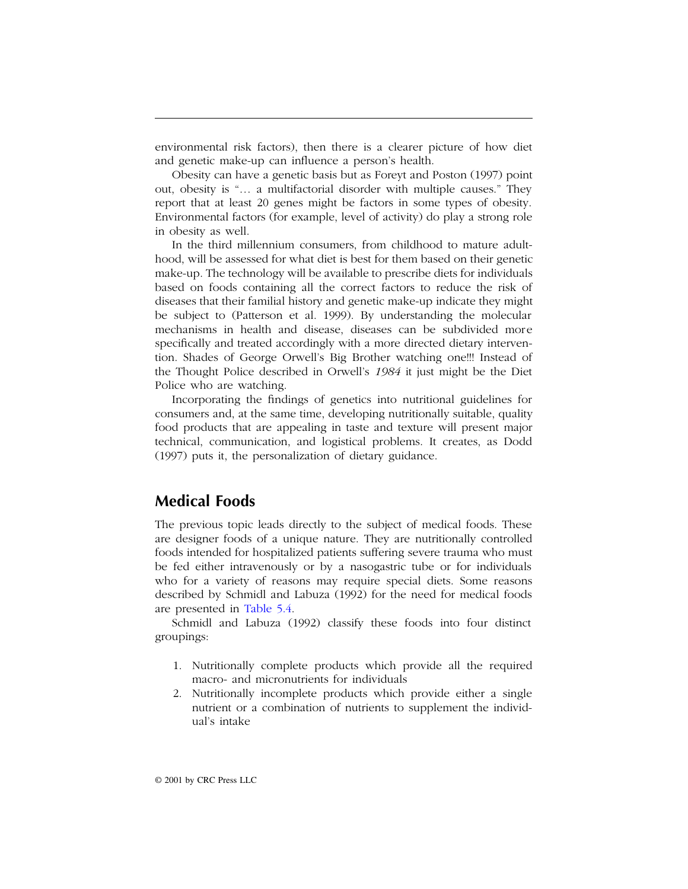environmental risk factors), then there is a clearer picture of how diet and genetic make-up can influence a person's health.

Obesity can have a genetic basis but as Foreyt and Poston (1997) point out, obesity is "… a multifactorial disorder with multiple causes." They report that at least 20 genes might be factors in some types of obesity. Environmental factors (for example, level of activity) do play a strong role in obesity as well.

In the third millennium consumers, from childhood to mature adulthood, will be assessed for what diet is best for them based on their genetic make-up. The technology will be available to prescribe diets for individuals based on foods containing all the correct factors to reduce the risk of diseases that their familial history and genetic make-up indicate they might be subject to (Patterson et al. 1999). By understanding the molecular mechanisms in health and disease, diseases can be subdivided more specifically and treated accordingly with a more directed dietary intervention. Shades of George Orwell's Big Brother watching one!!! Instead of the Thought Police described in Orwell's *1984* it just might be the Diet Police who are watching.

Incorporating the findings of genetics into nutritional guidelines for consumers and, at the same time, developing nutritionally suitable, quality food products that are appealing in taste and texture will present major technical, communication, and logistical problems. It creates, as Dodd (1997) puts it, the personalization of dietary guidance.

## **Medical Foods**

The previous topic leads directly to the subject of medical foods. These are designer foods of a unique nature. They are nutritionally controlled foods intended for hospitalized patients suffering severe trauma who must be fed either intravenously or by a nasogastric tube or for individuals who for a variety of reasons may require special diets. Some reasons described by Schmidl and Labuza (1992) for the need for medical foods are presented in [Table 5.4.](#page-26-0)

Schmidl and Labuza (1992) classify these foods into four distinct groupings:

- 1. Nutritionally complete products which provide all the required macro- and micronutrients for individuals
- 2. Nutritionally incomplete products which provide either a single nutrient or a combination of nutrients to supplement the individual's intake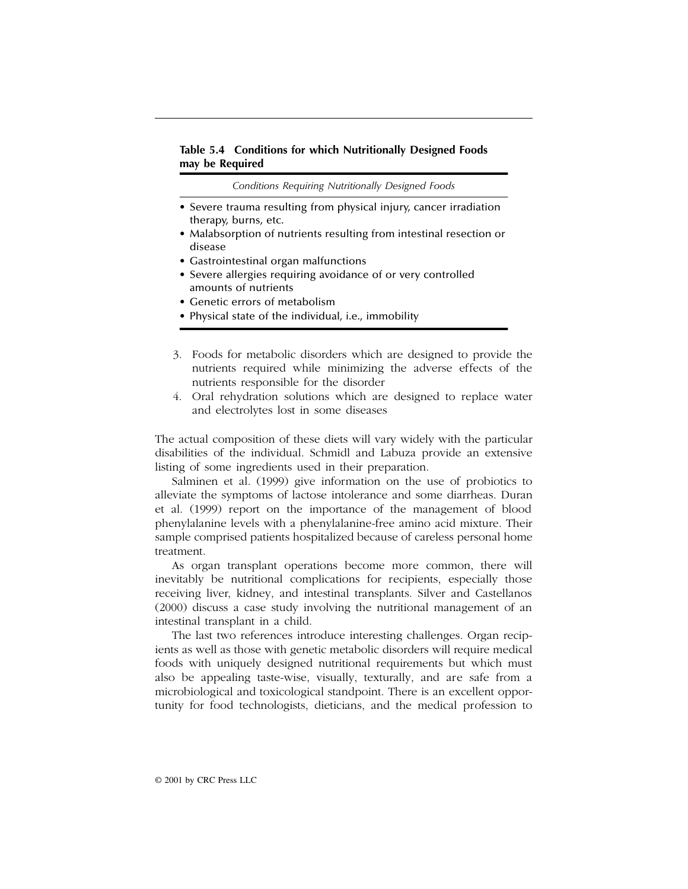#### <span id="page-26-0"></span>**Table 5.4 Conditions for which Nutritionally Designed Foods may be Required**

*Conditions Requiring Nutritionally Designed Foods*

- Severe trauma resulting from physical injury, cancer irradiation therapy, burns, etc.
- Malabsorption of nutrients resulting from intestinal resection or disease
- Gastrointestinal organ malfunctions
- Severe allergies requiring avoidance of or very controlled amounts of nutrients
- Genetic errors of metabolism
- Physical state of the individual, i.e., immobility
- 3. Foods for metabolic disorders which are designed to provide the nutrients required while minimizing the adverse effects of the nutrients responsible for the disorder
- 4. Oral rehydration solutions which are designed to replace water and electrolytes lost in some diseases

The actual composition of these diets will vary widely with the particular disabilities of the individual. Schmidl and Labuza provide an extensive listing of some ingredients used in their preparation.

Salminen et al. (1999) give information on the use of probiotics to alleviate the symptoms of lactose intolerance and some diarrheas. Duran et al. (1999) report on the importance of the management of blood phenylalanine levels with a phenylalanine-free amino acid mixture. Their sample comprised patients hospitalized because of careless personal home treatment.

As organ transplant operations become more common, there will inevitably be nutritional complications for recipients, especially those receiving liver, kidney, and intestinal transplants. Silver and Castellanos (2000) discuss a case study involving the nutritional management of an intestinal transplant in a child.

The last two references introduce interesting challenges. Organ recipients as well as those with genetic metabolic disorders will require medical foods with uniquely designed nutritional requirements but which must also be appealing taste-wise, visually, texturally, and are safe from a microbiological and toxicological standpoint. There is an excellent opportunity for food technologists, dieticians, and the medical profession to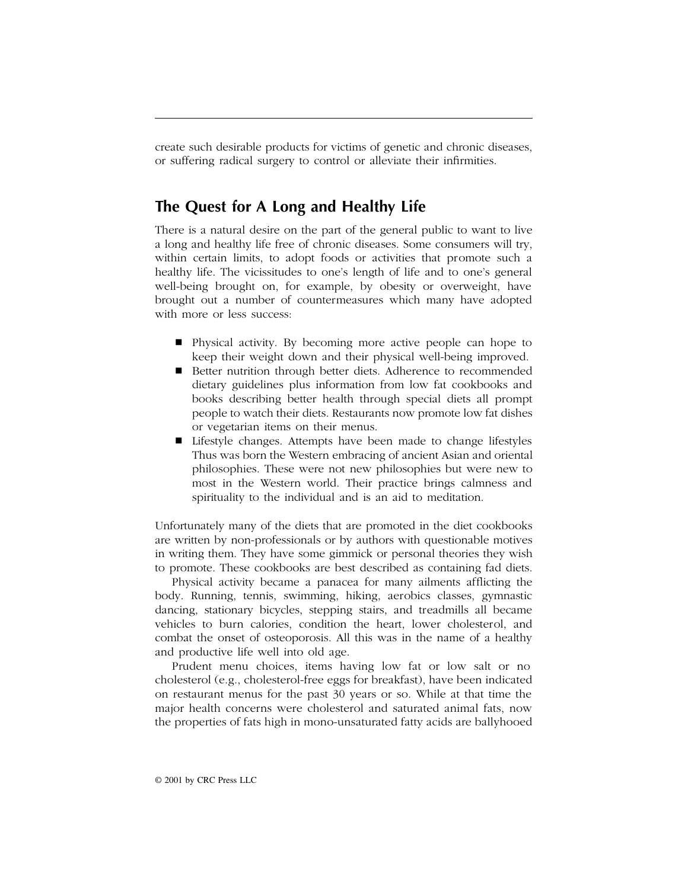create such desirable products for victims of genetic and chronic diseases, or suffering radical surgery to control or alleviate their infirmities.

## **The Quest for A Long and Healthy Life**

There is a natural desire on the part of the general public to want to live a long and healthy life free of chronic diseases. Some consumers will try, within certain limits, to adopt foods or activities that promote such a healthy life. The vicissitudes to one's length of life and to one's general well-being brought on, for example, by obesity or overweight, have brought out a number of countermeasures which many have adopted with more or less success:

- **Physical activity.** By becoming more active people can hope to keep their weight down and their physical well-being improved.
- Better nutrition through better diets. Adherence to recommended dietary guidelines plus information from low fat cookbooks and books describing better health through special diets all prompt people to watch their diets. Restaurants now promote low fat dishes or vegetarian items on their menus.
- Lifestyle changes. Attempts have been made to change lifestyles Thus was born the Western embracing of ancient Asian and oriental philosophies. These were not new philosophies but were new to most in the Western world. Their practice brings calmness and spirituality to the individual and is an aid to meditation.

Unfortunately many of the diets that are promoted in the diet cookbooks are written by non-professionals or by authors with questionable motives in writing them. They have some gimmick or personal theories they wish to promote. These cookbooks are best described as containing fad diets.

Physical activity became a panacea for many ailments afflicting the body. Running, tennis, swimming, hiking, aerobics classes, gymnastic dancing, stationary bicycles, stepping stairs, and treadmills all became vehicles to burn calories, condition the heart, lower cholesterol, and combat the onset of osteoporosis. All this was in the name of a healthy and productive life well into old age.

Prudent menu choices, items having low fat or low salt or no cholesterol (e.g., cholesterol-free eggs for breakfast), have been indicated on restaurant menus for the past 30 years or so. While at that time the major health concerns were cholesterol and saturated animal fats, now the properties of fats high in mono-unsaturated fatty acids are ballyhooed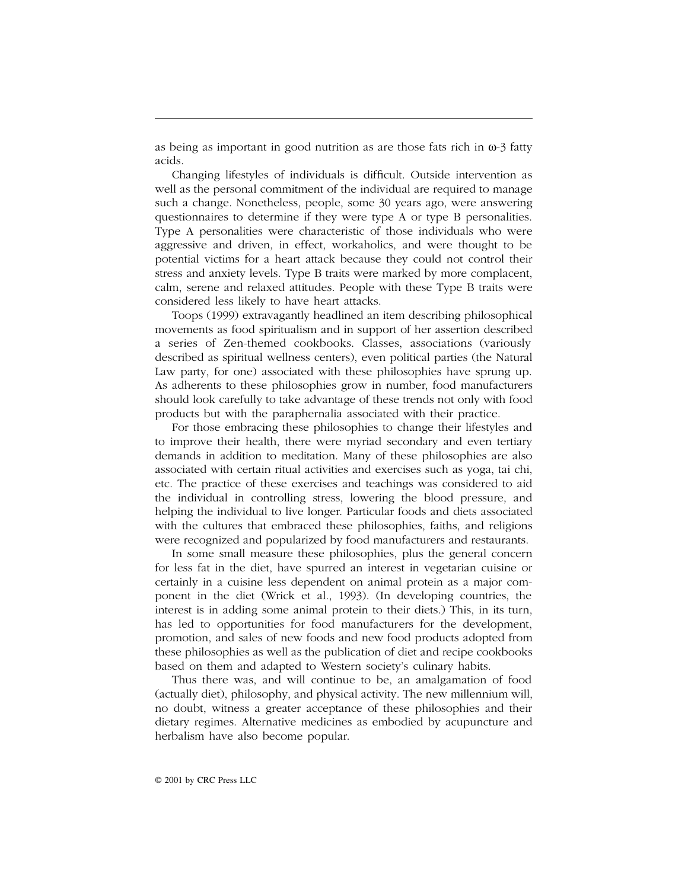as being as important in good nutrition as are those fats rich in ω-3 fatty acids.

Changing lifestyles of individuals is difficult. Outside intervention as well as the personal commitment of the individual are required to manage such a change. Nonetheless, people, some 30 years ago, were answering questionnaires to determine if they were type A or type B personalities. Type A personalities were characteristic of those individuals who were aggressive and driven, in effect, workaholics, and were thought to be potential victims for a heart attack because they could not control their stress and anxiety levels. Type B traits were marked by more complacent, calm, serene and relaxed attitudes. People with these Type B traits were considered less likely to have heart attacks.

Toops (1999) extravagantly headlined an item describing philosophical movements as food spiritualism and in support of her assertion described a series of Zen-themed cookbooks. Classes, associations (variously described as spiritual wellness centers), even political parties (the Natural Law party, for one) associated with these philosophies have sprung up. As adherents to these philosophies grow in number, food manufacturers should look carefully to take advantage of these trends not only with food products but with the paraphernalia associated with their practice.

For those embracing these philosophies to change their lifestyles and to improve their health, there were myriad secondary and even tertiary demands in addition to meditation. Many of these philosophies are also associated with certain ritual activities and exercises such as yoga, tai chi, etc. The practice of these exercises and teachings was considered to aid the individual in controlling stress, lowering the blood pressure, and helping the individual to live longer. Particular foods and diets associated with the cultures that embraced these philosophies, faiths, and religions were recognized and popularized by food manufacturers and restaurants.

In some small measure these philosophies, plus the general concern for less fat in the diet, have spurred an interest in vegetarian cuisine or certainly in a cuisine less dependent on animal protein as a major component in the diet (Wrick et al., 1993). (In developing countries, the interest is in adding some animal protein to their diets.) This, in its turn, has led to opportunities for food manufacturers for the development, promotion, and sales of new foods and new food products adopted from these philosophies as well as the publication of diet and recipe cookbooks based on them and adapted to Western society's culinary habits.

Thus there was, and will continue to be, an amalgamation of food (actually diet), philosophy, and physical activity. The new millennium will, no doubt, witness a greater acceptance of these philosophies and their dietary regimes. Alternative medicines as embodied by acupuncture and herbalism have also become popular.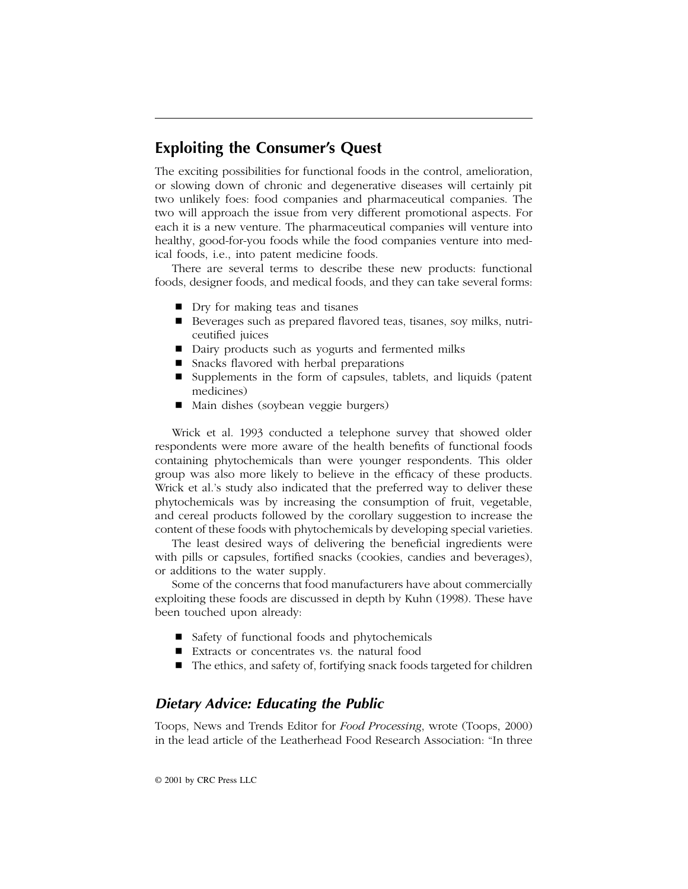## **Exploiting the Consumer's Quest**

The exciting possibilities for functional foods in the control, amelioration, or slowing down of chronic and degenerative diseases will certainly pit two unlikely foes: food companies and pharmaceutical companies. The two will approach the issue from very different promotional aspects. For each it is a new venture. The pharmaceutical companies will venture into healthy, good-for-you foods while the food companies venture into medical foods, i.e., into patent medicine foods.

There are several terms to describe these new products: functional foods, designer foods, and medical foods, and they can take several forms:

- Dry for making teas and tisanes
- Beverages such as prepared flavored teas, tisanes, soy milks, nutriceutified juices
- Dairy products such as yogurts and fermented milks
- Snacks flavored with herbal preparations
- Supplements in the form of capsules, tablets, and liquids (patent medicines)
- Main dishes (soybean veggie burgers)

Wrick et al. 1993 conducted a telephone survey that showed older respondents were more aware of the health benefits of functional foods containing phytochemicals than were younger respondents. This older group was also more likely to believe in the efficacy of these products. Wrick et al.'s study also indicated that the preferred way to deliver these phytochemicals was by increasing the consumption of fruit, vegetable, and cereal products followed by the corollary suggestion to increase the content of these foods with phytochemicals by developing special varieties.

The least desired ways of delivering the beneficial ingredients were with pills or capsules, fortified snacks (cookies, candies and beverages), or additions to the water supply.

Some of the concerns that food manufacturers have about commercially exploiting these foods are discussed in depth by Kuhn (1998). These have been touched upon already:

- Safety of functional foods and phytochemicals
- Extracts or concentrates vs. the natural food
- The ethics, and safety of, fortifying snack foods targeted for children

#### *Dietary Advice: Educating the Public*

Toops, News and Trends Editor for *Food Processing*, wrote (Toops, 2000) in the lead article of the Leatherhead Food Research Association: "In three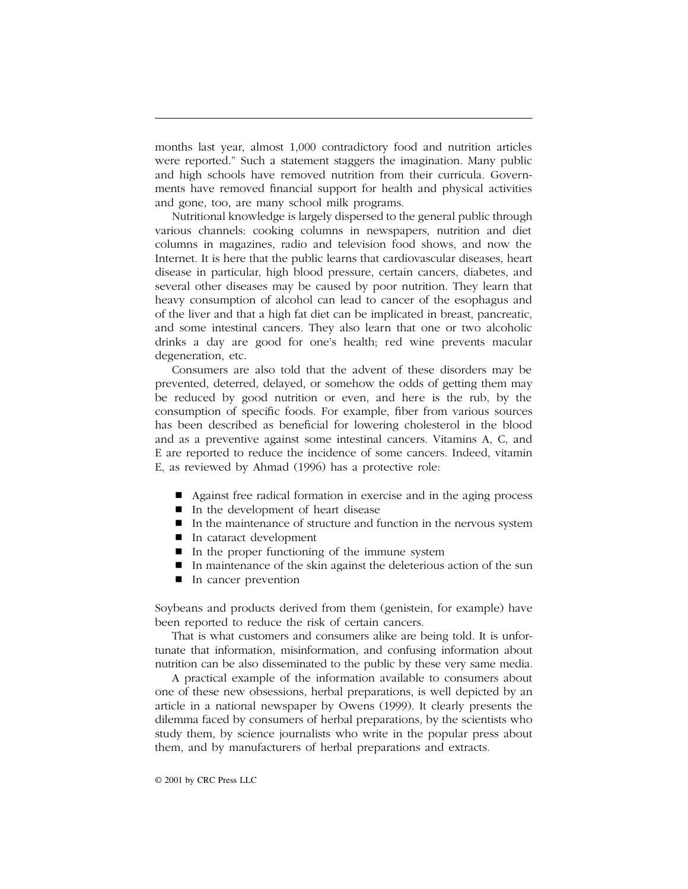months last year, almost 1,000 contradictory food and nutrition articles were reported." Such a statement staggers the imagination. Many public and high schools have removed nutrition from their curricula. Governments have removed financial support for health and physical activities and gone, too, are many school milk programs.

Nutritional knowledge is largely dispersed to the general public through various channels: cooking columns in newspapers, nutrition and diet columns in magazines, radio and television food shows, and now the Internet. It is here that the public learns that cardiovascular diseases, heart disease in particular, high blood pressure, certain cancers, diabetes, and several other diseases may be caused by poor nutrition. They learn that heavy consumption of alcohol can lead to cancer of the esophagus and of the liver and that a high fat diet can be implicated in breast, pancreatic, and some intestinal cancers. They also learn that one or two alcoholic drinks a day are good for one's health; red wine prevents macular degeneration, etc.

Consumers are also told that the advent of these disorders may be prevented, deterred, delayed, or somehow the odds of getting them may be reduced by good nutrition or even, and here is the rub, by the consumption of specific foods. For example, fiber from various sources has been described as beneficial for lowering cholesterol in the blood and as a preventive against some intestinal cancers. Vitamins A, C, and E are reported to reduce the incidence of some cancers. Indeed, vitamin E, as reviewed by Ahmad (1996) has a protective role:

- Against free radical formation in exercise and in the aging process
- In the development of heart disease
- In the maintenance of structure and function in the nervous system
- In cataract development
- $\blacksquare$  In the proper functioning of the immune system
- $\blacksquare$  In maintenance of the skin against the deleterious action of the sun
- In cancer prevention

Soybeans and products derived from them (genistein, for example) have been reported to reduce the risk of certain cancers.

That is what customers and consumers alike are being told. It is unfortunate that information, misinformation, and confusing information about nutrition can be also disseminated to the public by these very same media.

A practical example of the information available to consumers about one of these new obsessions, herbal preparations, is well depicted by an article in a national newspaper by Owens (1999). It clearly presents the dilemma faced by consumers of herbal preparations, by the scientists who study them, by science journalists who write in the popular press about them, and by manufacturers of herbal preparations and extracts.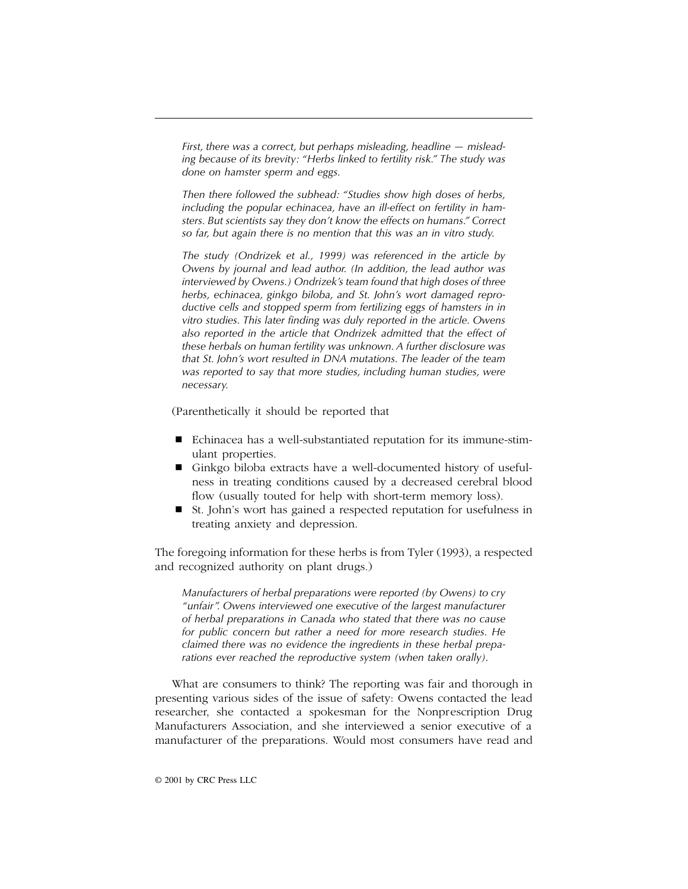*First, there was a correct, but perhaps misleading, headline — misleading because of its brevity: "Herbs linked to fertility risk." The study was done on hamster sperm and eggs.*

*Then there followed the subhead: "Studies show high doses of herbs, including the popular echinacea, have an ill-effect on fertility in hamsters. But scientists say they don't know the effects on humans." Correct so far, but again there is no mention that this was an in vitro study.*

*The study (Ondrizek et al., 1999) was referenced in the article by Owens by journal and lead author. (In addition, the lead author was interviewed by Owens.) Ondrizek's team found that high doses of three herbs, echinacea, ginkgo biloba, and St. John's wort damaged reproductive cells and stopped sperm from fertilizing eggs of hamsters in in vitro studies. This later finding was duly reported in the article. Owens also reported in the article that Ondrizek admitted that the effect of these herbals on human fertility was unknown. A further disclosure was that St. John's wort resulted in DNA mutations. The leader of the team was reported to say that more studies, including human studies, were necessary.*

(Parenthetically it should be reported that

- Echinacea has a well-substantiated reputation for its immune-stimulant properties.
- Ginkgo biloba extracts have a well-documented history of usefulness in treating conditions caused by a decreased cerebral blood flow (usually touted for help with short-term memory loss).
- St. John's wort has gained a respected reputation for usefulness in treating anxiety and depression.

The foregoing information for these herbs is from Tyler (1993), a respected and recognized authority on plant drugs.)

*Manufacturers of herbal preparations were reported (by Owens) to cry "unfair". Owens interviewed one executive of the largest manufacturer of herbal preparations in Canada who stated that there was no cause for public concern but rather a need for more research studies. He claimed there was no evidence the ingredients in these herbal preparations ever reached the reproductive system (when taken orally).*

What are consumers to think? The reporting was fair and thorough in presenting various sides of the issue of safety: Owens contacted the lead researcher, she contacted a spokesman for the Nonprescription Drug Manufacturers Association, and she interviewed a senior executive of a manufacturer of the preparations. Would most consumers have read and